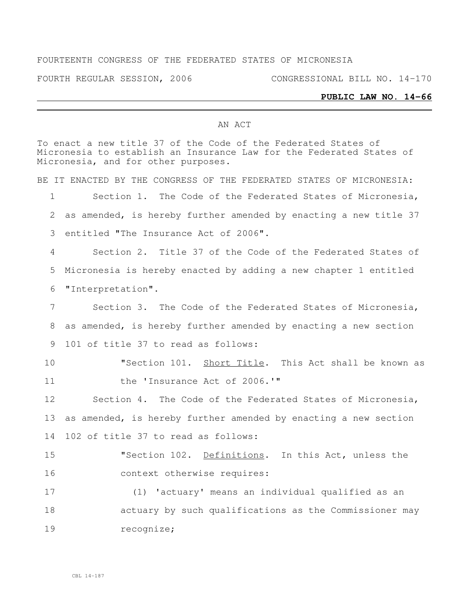### FOURTEENTH CONGRESS OF THE FEDERATED STATES OF MICRONESIA

FOURTH REGULAR SESSION, 2006 CONGRESSIONAL BILL NO. 14-170

#### **PUBLIC LAW NO. 14-66**

#### AN ACT

|              | To enact a new title 37 of the Code of the Federated States of<br>Micronesia to establish an Insurance Law for the Federated States of<br>Micronesia, and for other purposes. |
|--------------|-------------------------------------------------------------------------------------------------------------------------------------------------------------------------------|
|              | BE IT ENACTED BY THE CONGRESS OF THE FEDERATED STATES OF MICRONESIA:                                                                                                          |
| $\mathbf{1}$ | Section 1. The Code of the Federated States of Micronesia,                                                                                                                    |
| $\mathbf{2}$ | as amended, is hereby further amended by enacting a new title 37                                                                                                              |
| 3            | entitled "The Insurance Act of 2006".                                                                                                                                         |
| 4            | Section 2. Title 37 of the Code of the Federated States of                                                                                                                    |
| 5            | Micronesia is hereby enacted by adding a new chapter 1 entitled                                                                                                               |
| 6            | "Interpretation".                                                                                                                                                             |
| 7            | Section 3. The Code of the Federated States of Micronesia,                                                                                                                    |
| 8            | as amended, is hereby further amended by enacting a new section                                                                                                               |
| 9            | 101 of title 37 to read as follows:                                                                                                                                           |
| 10           | "Section 101. Short Title. This Act shall be known as                                                                                                                         |
| 11           | the 'Insurance Act of 2006.'"                                                                                                                                                 |
| 12           | Section 4. The Code of the Federated States of Micronesia,                                                                                                                    |
| 13           | as amended, is hereby further amended by enacting a new section                                                                                                               |
| 14           | 102 of title 37 to read as follows:                                                                                                                                           |
| 15           | "Section 102. Definitions. In this Act, unless the                                                                                                                            |
| 16           | context otherwise requires:                                                                                                                                                   |
| 17           | (1) 'actuary' means an individual qualified as an                                                                                                                             |
| 18           | actuary by such qualifications as the Commissioner may                                                                                                                        |
| 19           | recognize;                                                                                                                                                                    |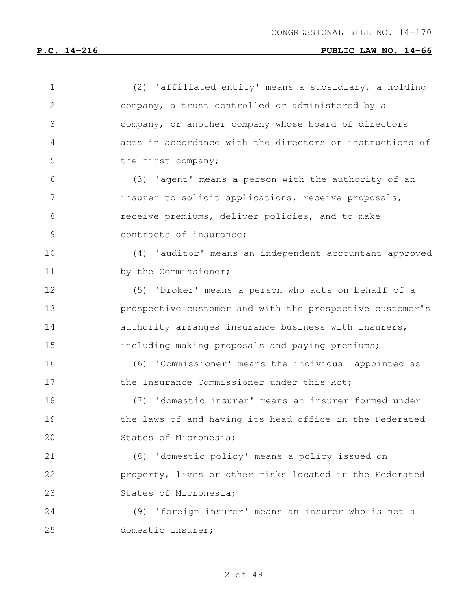| $\mathbf 1$  | (2) 'affiliated entity' means a subsidiary, a holding    |
|--------------|----------------------------------------------------------|
| $\mathbf{2}$ | company, a trust controlled or administered by a         |
| 3            | company, or another company whose board of directors     |
| 4            | acts in accordance with the directors or instructions of |
| 5            | the first company;                                       |
| 6            | (3) 'agent' means a person with the authority of an      |
| 7            | insurer to solicit applications, receive proposals,      |
| 8            | receive premiums, deliver policies, and to make          |
| 9            | contracts of insurance;                                  |
| 10           | (4) 'auditor' means an independent accountant approved   |
| 11           | by the Commissioner;                                     |
| 12           | (5) 'broker' means a person who acts on behalf of a      |
| 13           | prospective customer and with the prospective customer's |
| 14           | authority arranges insurance business with insurers,     |
| 15           | including making proposals and paying premiums;          |
| 16           | (6) 'Commissioner' means the individual appointed as     |
| 17           | the Insurance Commissioner under this Act;               |
| 18           | (7) 'domestic insurer' means an insurer formed under     |
| 19           | the laws of and having its head office in the Federated  |
| 20           | States of Micronesia;                                    |
| 21           | (8) 'domestic policy' means a policy issued on           |
| 22           | property, lives or other risks located in the Federated  |
| 23           | States of Micronesia;                                    |
| 24           | (9) 'foreign insurer' means an insurer who is not a      |
| 25           | domestic insurer;                                        |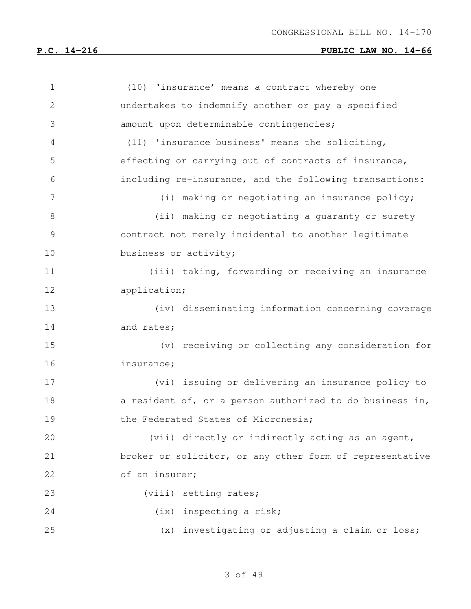| $\mathbf 1$   | (10) 'insurance' means a contract whereby one            |
|---------------|----------------------------------------------------------|
| $\mathbf{2}$  | undertakes to indemnify another or pay a specified       |
| 3             | amount upon determinable contingencies;                  |
| 4             | (11) 'insurance business' means the soliciting,          |
| 5             | effecting or carrying out of contracts of insurance,     |
| 6             | including re-insurance, and the following transactions:  |
| 7             | (i) making or negotiating an insurance policy;           |
| $8\,$         | (ii) making or negotiating a guaranty or surety          |
| $\mathcal{G}$ | contract not merely incidental to another legitimate     |
| 10            | business or activity;                                    |
| 11            | (iii) taking, forwarding or receiving an insurance       |
| 12            | application;                                             |
| 13            | (iv) disseminating information concerning coverage       |
| 14            | and rates;                                               |
| 15            | (v) receiving or collecting any consideration for        |
| 16            | insurance;                                               |
| 17            | (vi) issuing or delivering an insurance policy to        |
| 18            | a resident of, or a person authorized to do business in, |
| 19            | the Federated States of Micronesia;                      |
| 20            | (vii) directly or indirectly acting as an agent,         |
| 21            | broker or solicitor, or any other form of representative |
| 22            | of an insurer;                                           |
| 23            | (viii) setting rates;                                    |
| 24            | (ix) inspecting a risk;                                  |
| 25            | (x) investigating or adjusting a claim or loss;          |
|               |                                                          |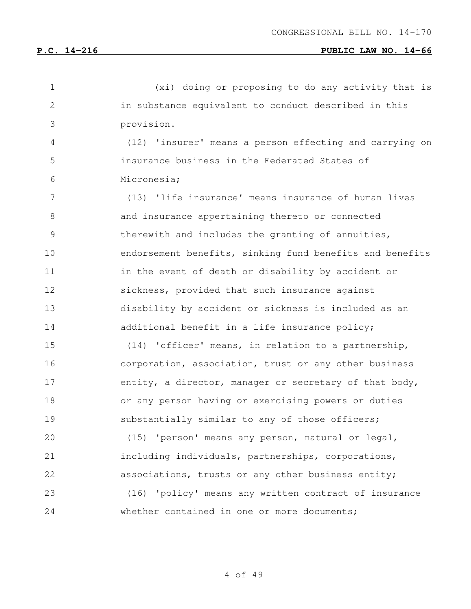| 1             | (xi) doing or proposing to do any activity that is       |
|---------------|----------------------------------------------------------|
| $\mathbf{2}$  | in substance equivalent to conduct described in this     |
| 3             | provision.                                               |
| 4             | (12) 'insurer' means a person effecting and carrying on  |
| 5             | insurance business in the Federated States of            |
| 6             | Micronesia;                                              |
| 7             | (13) 'life insurance' means insurance of human lives     |
| 8             | and insurance appertaining thereto or connected          |
| $\mathcal{G}$ | therewith and includes the granting of annuities,        |
| 10            | endorsement benefits, sinking fund benefits and benefits |
| 11            | in the event of death or disability by accident or       |
| 12            | sickness, provided that such insurance against           |
| 13            | disability by accident or sickness is included as an     |
| 14            | additional benefit in a life insurance policy;           |
| 15            | (14) 'officer' means, in relation to a partnership,      |
| 16            | corporation, association, trust or any other business    |
| 17            | entity, a director, manager or secretary of that body,   |
| 18            | or any person having or exercising powers or duties      |
| 19            | substantially similar to any of those officers;          |
| 20            | (15) 'person' means any person, natural or legal,        |
| 21            | including individuals, partnerships, corporations,       |
| 22            | associations, trusts or any other business entity;       |
| 23            | (16) 'policy' means any written contract of insurance    |
| 24            | whether contained in one or more documents;              |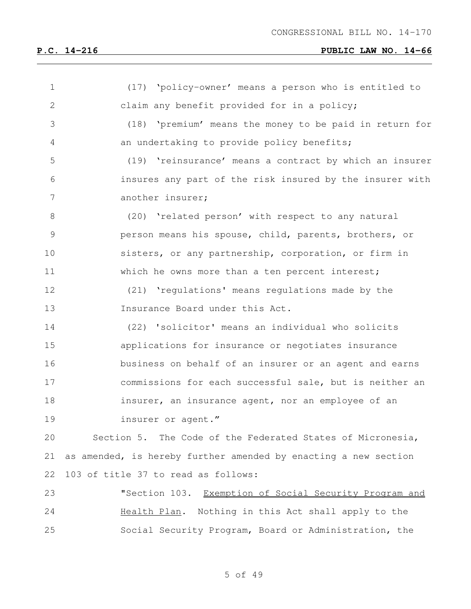| $\mathbf 1$  | (17) 'policy-owner' means a person who is entitled to           |
|--------------|-----------------------------------------------------------------|
| $\mathbf{2}$ | claim any benefit provided for in a policy;                     |
| 3            | (18) 'premium' means the money to be paid in return for         |
| 4            | an undertaking to provide policy benefits;                      |
| 5            | (19) 'reinsurance' means a contract by which an insurer         |
| 6            | insures any part of the risk insured by the insurer with        |
| 7            | another insurer;                                                |
| $8\,$        | (20) 'related person' with respect to any natural               |
| 9            | person means his spouse, child, parents, brothers, or           |
| 10           | sisters, or any partnership, corporation, or firm in            |
| 11           | which he owns more than a ten percent interest;                 |
| 12           | (21) 'regulations' means regulations made by the                |
| 13           | Insurance Board under this Act.                                 |
| 14           | (22) 'solicitor' means an individual who solicits               |
| 15           | applications for insurance or negotiates insurance              |
| 16           | business on behalf of an insurer or an agent and earns          |
| 17           | commissions for each successful sale, but is neither an         |
| 18           | insurer, an insurance agent, nor an employee of an              |
| 19           | insurer or agent."                                              |
| 20           | Section 5. The Code of the Federated States of Micronesia,      |
| 21           | as amended, is hereby further amended by enacting a new section |
| 22           | 103 of title 37 to read as follows:                             |
| 23           | "Section 103. Exemption of Social Security Program and          |
| 24           | Nothing in this Act shall apply to the<br>Health Plan.          |
| 25           | Social Security Program, Board or Administration, the           |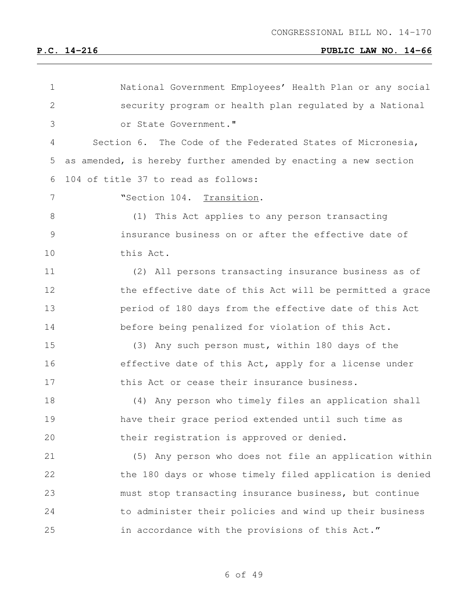| 1             | National Government Employees' Health Plan or any social        |
|---------------|-----------------------------------------------------------------|
| $\mathbf{2}$  | security program or health plan requlated by a National         |
| 3             | or State Government."                                           |
| 4             | Section 6. The Code of the Federated States of Micronesia,      |
| 5             | as amended, is hereby further amended by enacting a new section |
| 6             | 104 of title 37 to read as follows:                             |
| 7             | "Section 104. Transition.                                       |
| 8             | This Act applies to any person transacting<br>(1)               |
| $\mathcal{G}$ | insurance business on or after the effective date of            |
| 10            | this Act.                                                       |
| 11            | (2) All persons transacting insurance business as of            |
| 12            | the effective date of this Act will be permitted a grace        |
| 13            | period of 180 days from the effective date of this Act          |
| 14            | before being penalized for violation of this Act.               |
| 15            | (3) Any such person must, within 180 days of the                |
| 16            | effective date of this Act, apply for a license under           |
| 17            | this Act or cease their insurance business.                     |
| 18            | (4) Any person who timely files an application shall            |
| 19            | have their grace period extended until such time as             |
| 20            | their registration is approved or denied.                       |
| 21            | (5) Any person who does not file an application within          |
| 22            | the 180 days or whose timely filed application is denied        |
| 23            | must stop transacting insurance business, but continue          |
| 24            | to administer their policies and wind up their business         |
| 25            | in accordance with the provisions of this Act."                 |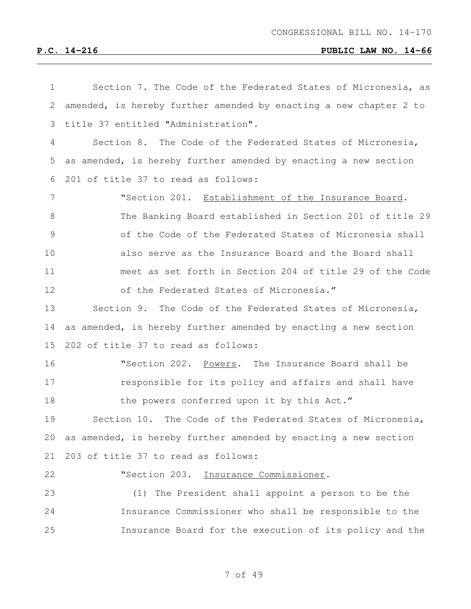| $\mathbf 1$    | Section 7. The Code of the Federated States of Micronesia, as     |
|----------------|-------------------------------------------------------------------|
| 2              | amended, is hereby further amended by enacting a new chapter 2 to |
| 3              | title 37 entitled "Administration".                               |
| 4              | Section 8. The Code of the Federated States of Micronesia,        |
| 5              | as amended, is hereby further amended by enacting a new section   |
| 6              | 201 of title 37 to read as follows:                               |
| $\overline{7}$ | "Section 201. Establishment of the Insurance Board.               |
| $8\,$          | The Banking Board established in Section 201 of title 29          |
| 9              | of the Code of the Federated States of Micronesia shall           |
| 10             | also serve as the Insurance Board and the Board shall             |
| 11             | meet as set forth in Section 204 of title 29 of the Code          |
| 12             | of the Federated States of Micronesia."                           |
| 13             | Section 9. The Code of the Federated States of Micronesia,        |
| 14             | as amended, is hereby further amended by enacting a new section   |
| 15             | 202 of title 37 to read as follows:                               |
| 16             | "Section 202. Powers. The Insurance Board shall be                |
| 17             | responsible for its policy and affairs and shall have             |
| 18             | the powers conferred upon it by this Act."                        |
| 19             | Section 10.<br>The Code of the Federated States of Micronesia,    |
| 20             | as amended, is hereby further amended by enacting a new section   |
| 21             | 203 of title 37 to read as follows:                               |
| 22             | "Section 203. Insurance Commissioner.                             |
| 23             | The President shall appoint a person to be the<br>(1)             |
| 24             | Insurance Commissioner who shall be responsible to the            |
| 25             | Insurance Board for the execution of its policy and the           |
|                |                                                                   |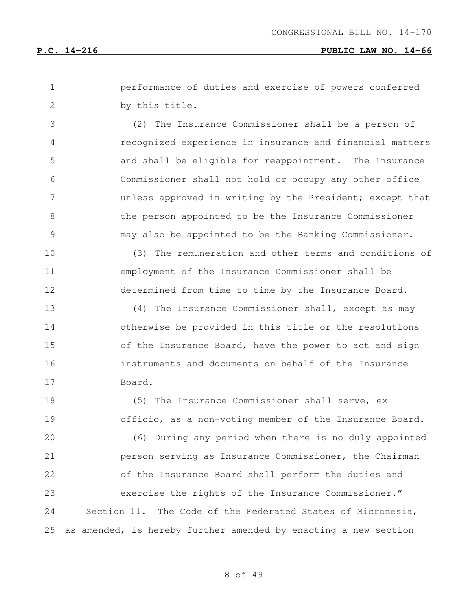performance of duties and exercise of powers conferred by this title.

 (2) The Insurance Commissioner shall be a person of recognized experience in insurance and financial matters and shall be eligible for reappointment. The Insurance Commissioner shall not hold or occupy any other office **19 Undee** unless approved in writing by the President; except that the person appointed to be the Insurance Commissioner may also be appointed to be the Banking Commissioner.

 (3) The remuneration and other terms and conditions of employment of the Insurance Commissioner shall be determined from time to time by the Insurance Board.

 (4) The Insurance Commissioner shall, except as may otherwise be provided in this title or the resolutions 15 of the Insurance Board, have the power to act and sign instruments and documents on behalf of the Insurance Board.

 (5) The Insurance Commissioner shall serve, ex officio, as a non-voting member of the Insurance Board. (6) During any period when there is no duly appointed person serving as Insurance Commissioner, the Chairman of the Insurance Board shall perform the duties and exercise the rights of the Insurance Commissioner." Section 11. The Code of the Federated States of Micronesia, as amended, is hereby further amended by enacting a new section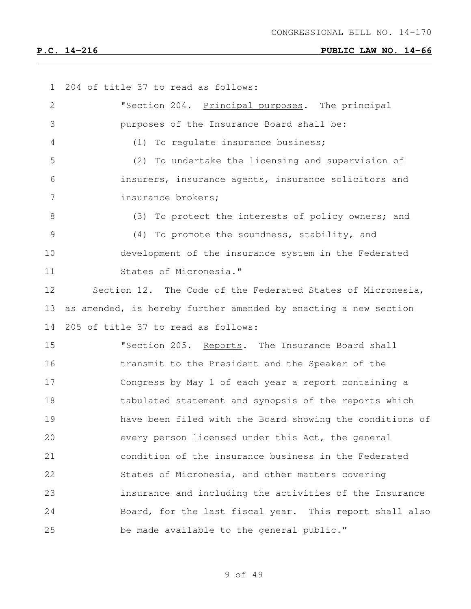| 1             | 204 of title 37 to read as follows:                             |
|---------------|-----------------------------------------------------------------|
| $\mathbf{2}$  | "Section 204. Principal purposes. The principal                 |
| 3             | purposes of the Insurance Board shall be:                       |
| 4             | (1) To regulate insurance business;                             |
| 5             | To undertake the licensing and supervision of<br>(2)            |
| 6             | insurers, insurance agents, insurance solicitors and            |
| 7             | insurance brokers;                                              |
| 8             | (3) To protect the interests of policy owners; and              |
| $\mathcal{G}$ | (4) To promote the soundness, stability, and                    |
| 10            | development of the insurance system in the Federated            |
| 11            | States of Micronesia."                                          |
| 12            | Section 12. The Code of the Federated States of Micronesia,     |
| 13            | as amended, is hereby further amended by enacting a new section |
| 14            | 205 of title 37 to read as follows:                             |
| 15            | "Section 205. Reports. The Insurance Board shall                |
| 16            | transmit to the President and the Speaker of the                |
| 17            | Congress by May 1 of each year a report containing a            |
| 18            | tabulated statement and synopsis of the reports which           |
| 19            | have been filed with the Board showing the conditions of        |
| 20            | every person licensed under this Act, the general               |
| 21            | condition of the insurance business in the Federated            |
| 22            | States of Micronesia, and other matters covering                |
| 23            | insurance and including the activities of the Insurance         |
| 24            | Board, for the last fiscal year. This report shall also         |
| 25            | be made available to the general public."                       |
|               |                                                                 |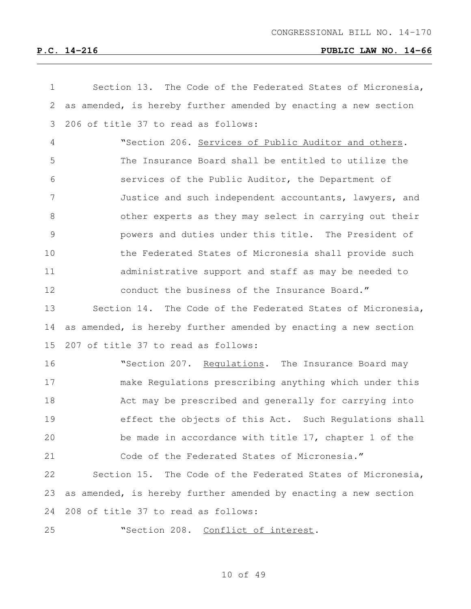| $\mathbf 1$    | Section 13. The Code of the Federated States of Micronesia,     |
|----------------|-----------------------------------------------------------------|
| 2              | as amended, is hereby further amended by enacting a new section |
| 3              | 206 of title 37 to read as follows:                             |
| $\overline{4}$ | "Section 206. Services of Public Auditor and others.            |
| 5              | The Insurance Board shall be entitled to utilize the            |
| 6              | services of the Public Auditor, the Department of               |
| 7              | Justice and such independent accountants, lawyers, and          |
| 8              | other experts as they may select in carrying out their          |
| 9              | powers and duties under this title. The President of            |
| 10             | the Federated States of Micronesia shall provide such           |
| 11             | administrative support and staff as may be needed to            |
| 12             | conduct the business of the Insurance Board."                   |
| 13             | Section 14. The Code of the Federated States of Micronesia,     |
| 14             | as amended, is hereby further amended by enacting a new section |
| 15             | 207 of title 37 to read as follows:                             |
| 16             | "Section 207. Requlations. The Insurance Board may              |
| 17             | make Regulations prescribing anything which under this          |
| 18             | Act may be prescribed and generally for carrying into           |
| 19             | effect the objects of this Act. Such Regulations shall          |
| 20             | be made in accordance with title 17, chapter 1 of the           |
| 21             | Code of the Federated States of Micronesia."                    |
| 22             | Section 15. The Code of the Federated States of Micronesia,     |
| 23             | as amended, is hereby further amended by enacting a new section |
| 24             | 208 of title 37 to read as follows:                             |
| 25             | "Section 208. Conflict of interest.                             |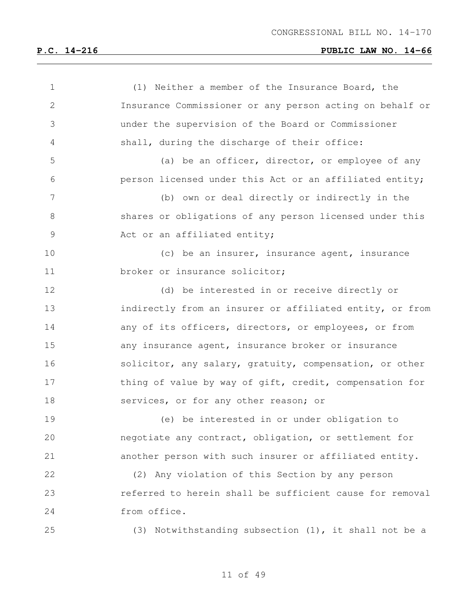| $\mathbf 1$ | (1) Neither a member of the Insurance Board, the         |
|-------------|----------------------------------------------------------|
| 2           | Insurance Commissioner or any person acting on behalf or |
| 3           | under the supervision of the Board or Commissioner       |
| 4           | shall, during the discharge of their office:             |
| 5           | (a) be an officer, director, or employee of any          |
| 6           | person licensed under this Act or an affiliated entity;  |
| 7           | (b) own or deal directly or indirectly in the            |
| 8           | shares or obligations of any person licensed under this  |
| $\mathsf 9$ | Act or an affiliated entity;                             |
| 10          | (c) be an insurer, insurance agent, insurance            |
| 11          | broker or insurance solicitor;                           |
| 12          | (d) be interested in or receive directly or              |
| 13          | indirectly from an insurer or affiliated entity, or from |
| 14          | any of its officers, directors, or employees, or from    |
| 15          | any insurance agent, insurance broker or insurance       |
| 16          | solicitor, any salary, gratuity, compensation, or other  |
| 17          | thing of value by way of gift, credit, compensation for  |
| 18          | services, or for any other reason; or                    |
| 19          | (e) be interested in or under obligation to              |
| 20          | negotiate any contract, obligation, or settlement for    |
| 21          | another person with such insurer or affiliated entity.   |
| 22          | (2) Any violation of this Section by any person          |
| 23          | referred to herein shall be sufficient cause for removal |
| 24          | from office.                                             |
| 25          | (3) Notwithstanding subsection (1), it shall not be a    |
|             |                                                          |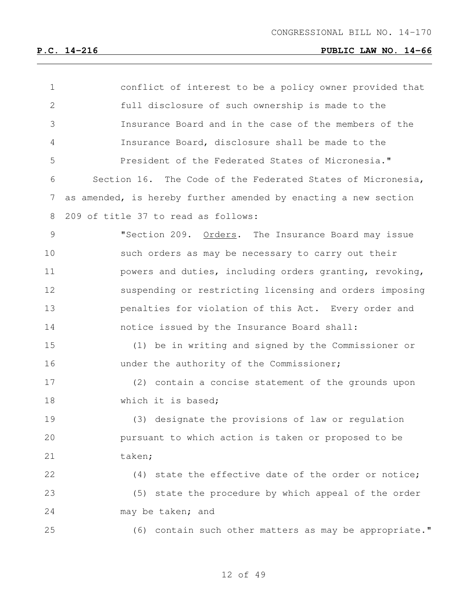| $\mathbf 1$    | conflict of interest to be a policy owner provided that         |
|----------------|-----------------------------------------------------------------|
| $\overline{2}$ | full disclosure of such ownership is made to the                |
| 3              | Insurance Board and in the case of the members of the           |
| 4              | Insurance Board, disclosure shall be made to the                |
| 5              | President of the Federated States of Micronesia."               |
| 6              | Section 16. The Code of the Federated States of Micronesia,     |
| 7              | as amended, is hereby further amended by enacting a new section |
| 8              | 209 of title 37 to read as follows:                             |
| $\mathcal{G}$  | "Section 209. Orders. The Insurance Board may issue             |
| 10             | such orders as may be necessary to carry out their              |
| 11             | powers and duties, including orders granting, revoking,         |
| 12             | suspending or restricting licensing and orders imposing         |
| 13             | penalties for violation of this Act. Every order and            |
| 14             | notice issued by the Insurance Board shall:                     |
| 15             | (1) be in writing and signed by the Commissioner or             |
| 16             | under the authority of the Commissioner;                        |
| 17             | (2) contain a concise statement of the grounds upon             |
| 18             | which it is based;                                              |
| 19             | (3) designate the provisions of law or regulation               |
| 20             | pursuant to which action is taken or proposed to be             |
| 21             | taken;                                                          |
| 22             | (4) state the effective date of the order or notice;            |
| 23             | (5) state the procedure by which appeal of the order            |
| 24             | may be taken; and                                               |
| 25             | (6) contain such other matters as may be appropriate."          |
|                |                                                                 |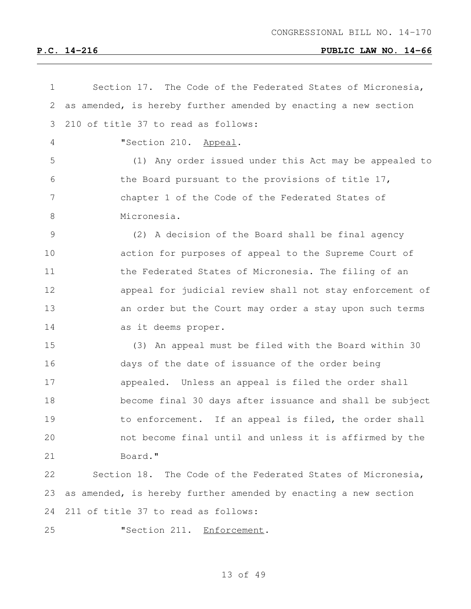| $\mathbf 1$    | Section 17. The Code of the Federated States of Micronesia,     |
|----------------|-----------------------------------------------------------------|
| 2              | as amended, is hereby further amended by enacting a new section |
| 3              | 210 of title 37 to read as follows:                             |
| $\overline{4}$ | "Section 210. Appeal.                                           |
| 5              | (1) Any order issued under this Act may be appealed to          |
| 6              | the Board pursuant to the provisions of title 17,               |
| 7              | chapter 1 of the Code of the Federated States of                |
| $8\,$          | Micronesia.                                                     |
| 9              | (2) A decision of the Board shall be final agency               |
| 10             | action for purposes of appeal to the Supreme Court of           |
| 11             | the Federated States of Micronesia. The filing of an            |
| 12             | appeal for judicial review shall not stay enforcement of        |
| 13             | an order but the Court may order a stay upon such terms         |
| 14             | as it deems proper.                                             |
| 15             | (3) An appeal must be filed with the Board within 30            |
| 16             | days of the date of issuance of the order being                 |
| 17             | appealed. Unless an appeal is filed the order shall             |
| 18             | become final 30 days after issuance and shall be subject        |
| 19             | to enforcement. If an appeal is filed, the order shall          |
| 20             | not become final until and unless it is affirmed by the         |
| 21             | Board."                                                         |
| 22             | Section 18. The Code of the Federated States of Micronesia,     |
| 23             | as amended, is hereby further amended by enacting a new section |
| 24             | 211 of title 37 to read as follows:                             |
| 25             | "Section 211. Enforcement.                                      |
|                |                                                                 |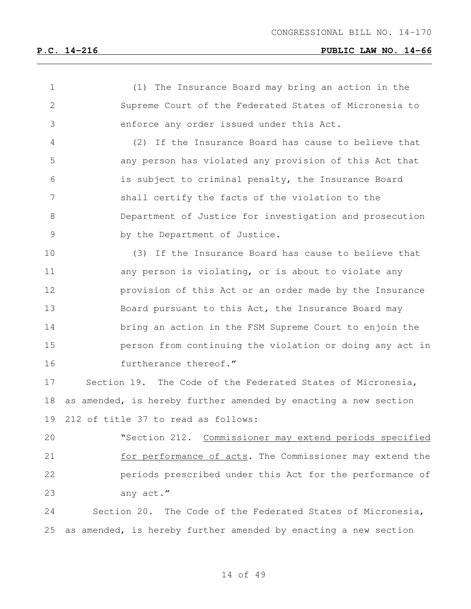| $\mathbf 1$    | (1) The Insurance Board may bring an action in the              |
|----------------|-----------------------------------------------------------------|
| $\mathbf{2}$   | Supreme Court of the Federated States of Micronesia to          |
| 3              | enforce any order issued under this Act.                        |
| $\overline{4}$ | (2) If the Insurance Board has cause to believe that            |
| 5              | any person has violated any provision of this Act that          |
| 6              | is subject to criminal penalty, the Insurance Board             |
| 7              | shall certify the facts of the violation to the                 |
| 8              | Department of Justice for investigation and prosecution         |
| $\mathcal{G}$  | by the Department of Justice.                                   |
| 10             | (3) If the Insurance Board has cause to believe that            |
| 11             | any person is violating, or is about to violate any             |
| 12             | provision of this Act or an order made by the Insurance         |
| 13             | Board pursuant to this Act, the Insurance Board may             |
| 14             | bring an action in the FSM Supreme Court to enjoin the          |
| 15             | person from continuing the violation or doing any act in        |
| 16             | furtherance thereof."                                           |
| 17             | Section 19. The Code of the Federated States of Micronesia,     |
| 18             | as amended, is hereby further amended by enacting a new section |
| 19             | 212 of title 37 to read as follows:                             |
| 20             | "Section 212. Commissioner may extend periods specified         |
| 21             | for performance of acts. The Commissioner may extend the        |
| 22             | periods prescribed under this Act for the performance of        |
| 23             | any act."                                                       |
| 24             | Section 20. The Code of the Federated States of Micronesia,     |
| 25             | as amended, is hereby further amended by enacting a new section |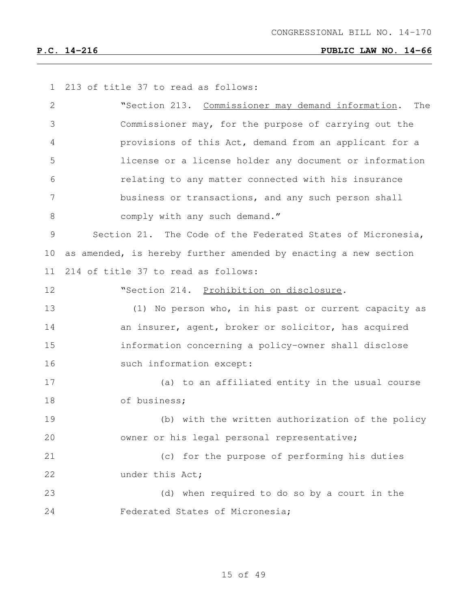213 of title 37 to read as follows: "Section 213. Commissioner may demand information. The Commissioner may, for the purpose of carrying out the provisions of this Act, demand from an applicant for a license or a license holder any document or information relating to any matter connected with his insurance business or transactions, and any such person shall 8 comply with any such demand." Section 21. The Code of the Federated States of Micronesia, as amended, is hereby further amended by enacting a new section 214 of title 37 to read as follows: "Section 214. Prohibition on disclosure. (1) No person who, in his past or current capacity as **an insurer, agent, broker or solicitor, has acquired**  information concerning a policy-owner shall disclose 16 such information except: (a) to an affiliated entity in the usual course of business; (b) with the written authorization of the policy owner or his legal personal representative; (c) for the purpose of performing his duties 22 under this Act; (d) when required to do so by a court in the Federated States of Micronesia;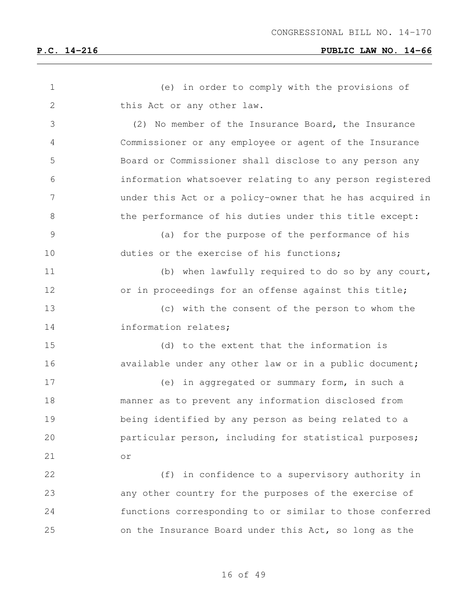| $\mathbf 1$   | (e) in order to comply with the provisions of            |
|---------------|----------------------------------------------------------|
| $\mathbf{2}$  | this Act or any other law.                               |
| 3             | (2) No member of the Insurance Board, the Insurance      |
| 4             | Commissioner or any employee or agent of the Insurance   |
| 5             | Board or Commissioner shall disclose to any person any   |
| 6             | information whatsoever relating to any person registered |
| 7             | under this Act or a policy-owner that he has acquired in |
| $8\,$         | the performance of his duties under this title except:   |
| $\mathcal{G}$ | (a) for the purpose of the performance of his            |
| 10            | duties or the exercise of his functions;                 |
| 11            | (b) when lawfully required to do so by any court,        |
| 12            | or in proceedings for an offense against this title;     |
| 13            | (c) with the consent of the person to whom the           |
| 14            | information relates;                                     |
| 15            | (d) to the extent that the information is                |
| 16            | available under any other law or in a public document;   |
| 17            | (e) in aggregated or summary form, in such a             |
| 18            | manner as to prevent any information disclosed from      |
| 19            | being identified by any person as being related to a     |
| 20            | particular person, including for statistical purposes;   |
| 21            | or                                                       |
| 22            | (f) in confidence to a supervisory authority in          |
| 23            | any other country for the purposes of the exercise of    |
| 24            | functions corresponding to or similar to those conferred |
| 25            | on the Insurance Board under this Act, so long as the    |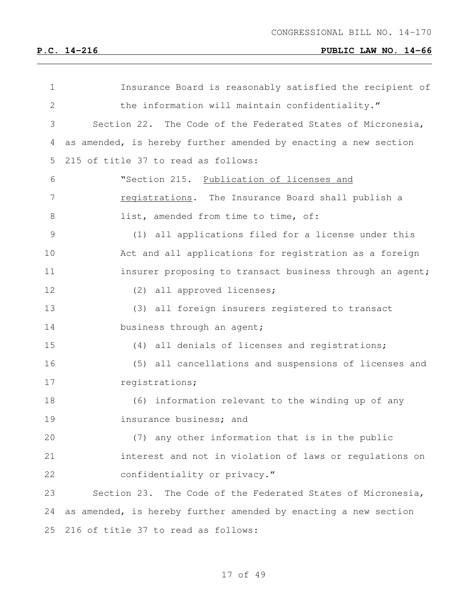| $\mathbf 1$  | Insurance Board is reasonably satisfied the recipient of        |
|--------------|-----------------------------------------------------------------|
| $\mathbf{2}$ | the information will maintain confidentiality."                 |
| 3            | Section 22. The Code of the Federated States of Micronesia,     |
| 4            | as amended, is hereby further amended by enacting a new section |
| 5            | 215 of title 37 to read as follows:                             |
| 6            | "Section 215. Publication of licenses and                       |
| 7            | registrations. The Insurance Board shall publish a              |
| 8            | list, amended from time to time, of:                            |
| 9            | (1) all applications filed for a license under this             |
| 10           | Act and all applications for registration as a foreign          |
| 11           | insurer proposing to transact business through an agent;        |
| 12           | (2) all approved licenses;                                      |
| 13           | (3) all foreign insurers registered to transact                 |
| 14           | business through an agent;                                      |
| 15           | (4) all denials of licenses and registrations;                  |
| 16           | (5) all cancellations and suspensions of licenses and           |
| 17           | registrations;                                                  |
| 18           | (6) information relevant to the winding up of any               |
| 19           | insurance business; and                                         |
| 20           | (7) any other information that is in the public                 |
| 21           | interest and not in violation of laws or regulations on         |
| 22           | confidentiality or privacy."                                    |
| 23           | Section 23.<br>The Code of the Federated States of Micronesia,  |
| 24           | as amended, is hereby further amended by enacting a new section |
| 25           | 216 of title 37 to read as follows:                             |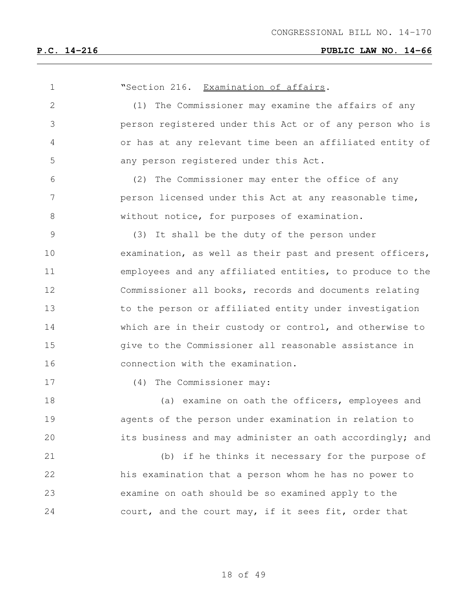| 1               | "Section 216. Examination of affairs.                    |
|-----------------|----------------------------------------------------------|
| $\mathbf{2}$    | (1) The Commissioner may examine the affairs of any      |
| 3               | person registered under this Act or of any person who is |
| 4               | or has at any relevant time been an affiliated entity of |
| 5               | any person registered under this Act.                    |
| 6               | (2) The Commissioner may enter the office of any         |
| $7\phantom{.0}$ | person licensed under this Act at any reasonable time,   |
| 8               | without notice, for purposes of examination.             |
| $\mathcal{G}$   | (3) It shall be the duty of the person under             |
| 10              | examination, as well as their past and present officers, |
| 11              | employees and any affiliated entities, to produce to the |
| 12              | Commissioner all books, records and documents relating   |
| 13              | to the person or affiliated entity under investigation   |
| 14              | which are in their custody or control, and otherwise to  |
| 15              | give to the Commissioner all reasonable assistance in    |
| 16              | connection with the examination.                         |
| 17              | (4) The Commissioner may:                                |
| 18              | (a) examine on oath the officers, employees and          |
| 19              | agents of the person under examination in relation to    |
| 20              | its business and may administer an oath accordingly; and |
| 21              | (b) if he thinks it necessary for the purpose of         |
| 22              | his examination that a person whom he has no power to    |
| 23              | examine on oath should be so examined apply to the       |
| 24              | court, and the court may, if it sees fit, order that     |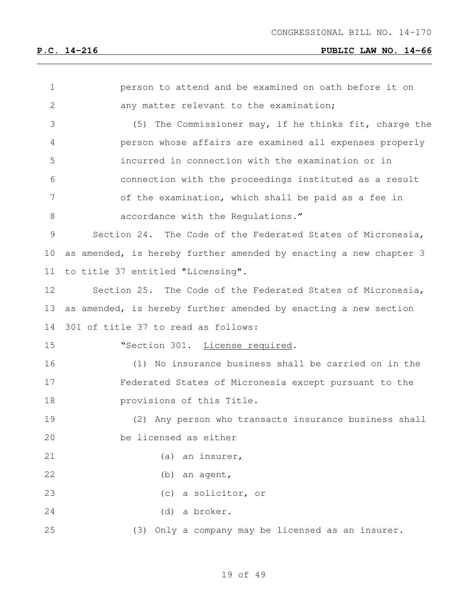| 1            | person to attend and be examined on oath before it on             |
|--------------|-------------------------------------------------------------------|
| $\mathbf{2}$ | any matter relevant to the examination;                           |
| 3            | The Commissioner may, if he thinks fit, charge the<br>(5)         |
| 4            | person whose affairs are examined all expenses properly           |
| 5            | incurred in connection with the examination or in                 |
| 6            | connection with the proceedings instituted as a result            |
| 7            | of the examination, which shall be paid as a fee in               |
| 8            | accordance with the Regulations."                                 |
| 9            | Section 24. The Code of the Federated States of Micronesia,       |
| 10           | as amended, is hereby further amended by enacting a new chapter 3 |
| 11           | to title 37 entitled "Licensing".                                 |
| 12           | Section 25. The Code of the Federated States of Micronesia,       |
| 13           | as amended, is hereby further amended by enacting a new section   |
| 14           | 301 of title 37 to read as follows:                               |
| 15           | "Section 301. License required.                                   |
| 16           | No insurance business shall be carried on in the<br>(1)           |
| 17           | Federated States of Micronesia except pursuant to the             |
| 18           | provisions of this Title.                                         |
| 19           | (2) Any person who transacts insurance business shall             |
| 20           | be licensed as either                                             |
| 21           | (a) an insurer,                                                   |
| 22           | (b) an agent,                                                     |
| 23           | (c) a solicitor, or                                               |
| 24           | (d) a broker.                                                     |
| 25           | (3) Only a company may be licensed as an insurer.                 |
|              |                                                                   |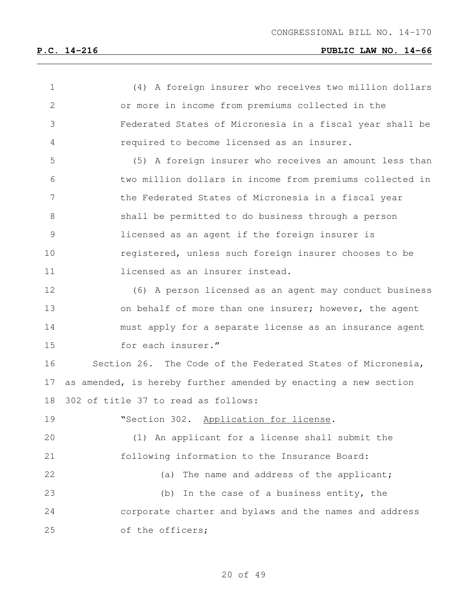| $\mathbf 1$  | (4) A foreign insurer who receives two million dollars          |
|--------------|-----------------------------------------------------------------|
| $\mathbf{2}$ | or more in income from premiums collected in the                |
| 3            | Federated States of Micronesia in a fiscal year shall be        |
| 4            | required to become licensed as an insurer.                      |
| 5            | (5) A foreign insurer who receives an amount less than          |
| 6            | two million dollars in income from premiums collected in        |
| 7            | the Federated States of Micronesia in a fiscal year             |
| 8            | shall be permitted to do business through a person              |
| 9            | licensed as an agent if the foreign insurer is                  |
| 10           | registered, unless such foreign insurer chooses to be           |
| 11           | licensed as an insurer instead.                                 |
| 12           | (6) A person licensed as an agent may conduct business          |
| 13           | on behalf of more than one insurer; however, the agent          |
| 14           | must apply for a separate license as an insurance agent         |
| 15           | for each insurer."                                              |
| 16           | Section 26. The Code of the Federated States of Micronesia,     |
| 17           | as amended, is hereby further amended by enacting a new section |
| 18           | 302 of title 37 to read as follows:                             |
| 19           | "Section 302. Application for license.                          |
| 20           | (1) An applicant for a license shall submit the                 |
| 21           | following information to the Insurance Board:                   |
| 22           | The name and address of the applicant;<br>(a)                   |
| 23           | In the case of a business entity, the<br>(b)                    |
| 24           | corporate charter and bylaws and the names and address          |
| 25           | of the officers;                                                |
|              |                                                                 |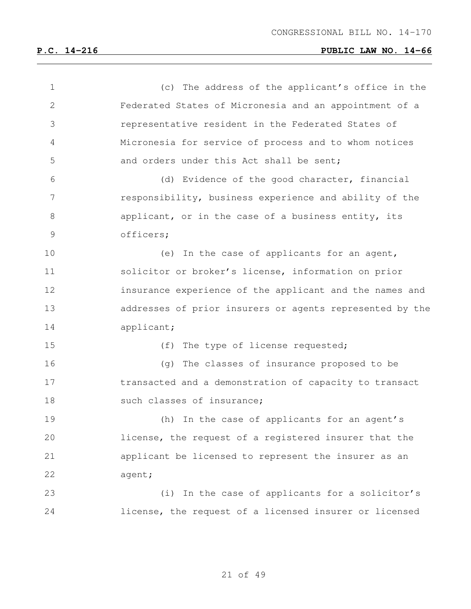| $\mathbf 1$ | (c) The address of the applicant's office in the         |
|-------------|----------------------------------------------------------|
| 2           | Federated States of Micronesia and an appointment of a   |
| 3           | representative resident in the Federated States of       |
| 4           | Micronesia for service of process and to whom notices    |
| 5           | and orders under this Act shall be sent;                 |
| 6           | (d) Evidence of the good character, financial            |
| 7           | responsibility, business experience and ability of the   |
| 8           | applicant, or in the case of a business entity, its      |
| 9           | officers;                                                |
| 10          | (e) In the case of applicants for an agent,              |
| 11          | solicitor or broker's license, information on prior      |
| 12          | insurance experience of the applicant and the names and  |
| 13          | addresses of prior insurers or agents represented by the |
| 14          | applicant;                                               |
| 15          | (f) The type of license requested;                       |
| 16          | (g) The classes of insurance proposed to be              |
| 17          | transacted and a demonstration of capacity to transact   |
| 18          | such classes of insurance;                               |
| 19          | (h) In the case of applicants for an agent's             |
| 20          | license, the request of a registered insurer that the    |
| 21          | applicant be licensed to represent the insurer as an     |
| 22          | agent;                                                   |
| 23          | (i) In the case of applicants for a solicitor's          |
| 24          | license, the request of a licensed insurer or licensed   |
|             |                                                          |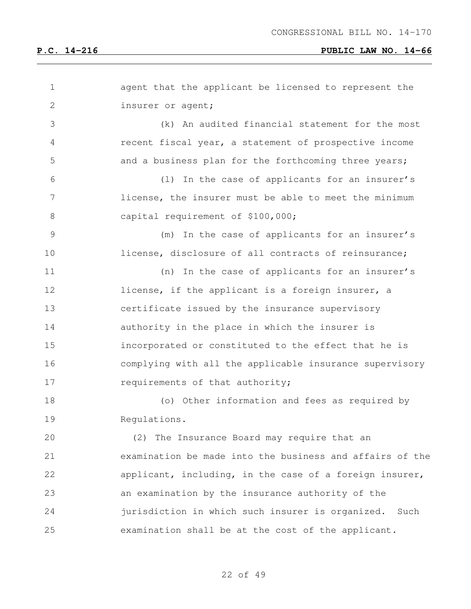| $\mathbf 1$   | agent that the applicant be licensed to represent the    |
|---------------|----------------------------------------------------------|
| $\mathbf{2}$  | insurer or agent;                                        |
| 3             | An audited financial statement for the most<br>(k)       |
| 4             | recent fiscal year, a statement of prospective income    |
| 5             | and a business plan for the forthcoming three years;     |
| 6             | In the case of applicants for an insurer's<br>(1)        |
| 7             | license, the insurer must be able to meet the minimum    |
| 8             | capital requirement of \$100,000;                        |
| $\mathcal{G}$ | In the case of applicants for an insurer's<br>(m)        |
| 10            | license, disclosure of all contracts of reinsurance;     |
| 11            | In the case of applicants for an insurer's<br>(n)        |
| 12            | license, if the applicant is a foreign insurer, a        |
| 13            | certificate issued by the insurance supervisory          |
| 14            | authority in the place in which the insurer is           |
| 15            | incorporated or constituted to the effect that he is     |
| 16            | complying with all the applicable insurance supervisory  |
| 17            | requirements of that authority;                          |
| 18            | (o) Other information and fees as required by            |
| 19            | Requlations.                                             |
| 20            | (2) The Insurance Board may require that an              |
| 21            | examination be made into the business and affairs of the |
| 22            | applicant, including, in the case of a foreign insurer,  |
| 23            | an examination by the insurance authority of the         |
| 24            | jurisdiction in which such insurer is organized.<br>Such |
| 25            | examination shall be at the cost of the applicant.       |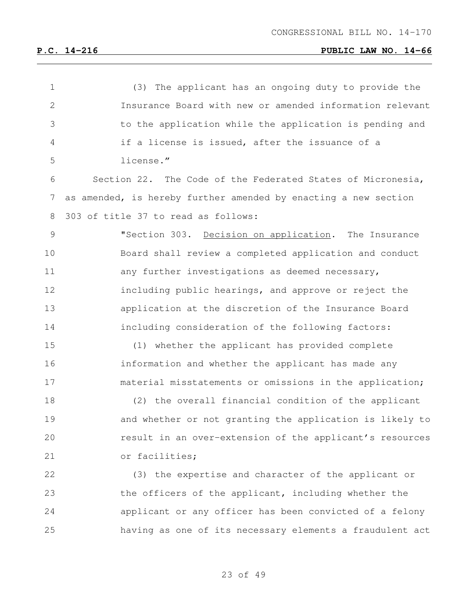| $\mathbf 1$   | The applicant has an ongoing duty to provide the<br>(3)         |
|---------------|-----------------------------------------------------------------|
| $\mathbf{2}$  | Insurance Board with new or amended information relevant        |
| 3             | to the application while the application is pending and         |
| 4             | if a license is issued, after the issuance of a                 |
| 5             | license."                                                       |
| 6             | Section 22. The Code of the Federated States of Micronesia,     |
| 7             | as amended, is hereby further amended by enacting a new section |
| 8             | 303 of title 37 to read as follows:                             |
| $\mathcal{G}$ | "Section 303. Decision on application. The Insurance            |
| 10            | Board shall review a completed application and conduct          |
| 11            | any further investigations as deemed necessary,                 |
| 12            | including public hearings, and approve or reject the            |
| 13            | application at the discretion of the Insurance Board            |
| 14            | including consideration of the following factors:               |
| 15            | (1) whether the applicant has provided complete                 |
| 16            | information and whether the applicant has made any              |
| 17            | material misstatements or omissions in the application;         |
| 18            | (2) the overall financial condition of the applicant            |
| 19            | and whether or not granting the application is likely to        |
| 20            | result in an over-extension of the applicant's resources        |
| 21            | or facilities;                                                  |
| 22            | (3) the expertise and character of the applicant or             |
| 23            | the officers of the applicant, including whether the            |
| 24            | applicant or any officer has been convicted of a felony         |
| 25            | having as one of its necessary elements a fraudulent act        |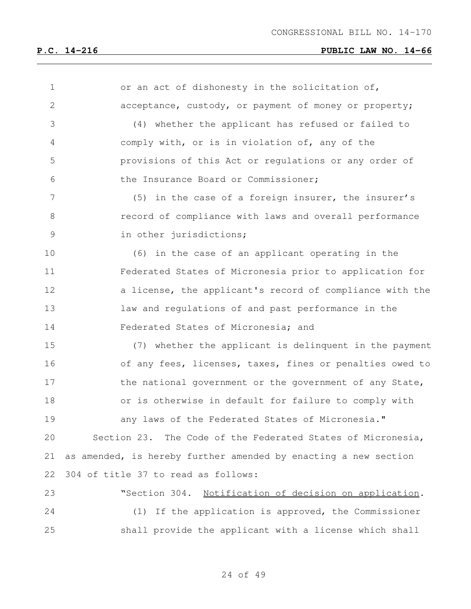or an act of dishonesty in the solicitation of, acceptance, custody, or payment of money or property; (4) whether the applicant has refused or failed to comply with, or is in violation of, any of the provisions of this Act or regulations or any order of the Insurance Board or Commissioner; 7 (5) in the case of a foreign insurer, the insurer's record of compliance with laws and overall performance in other jurisdictions; (6) in the case of an applicant operating in the Federated States of Micronesia prior to application for a license, the applicant's record of compliance with the law and regulations of and past performance in the Federated States of Micronesia; and (7) whether the applicant is delinquent in the payment of any fees, licenses, taxes, fines or penalties owed to 17 the national government or the government of any State, or is otherwise in default for failure to comply with any laws of the Federated States of Micronesia." Section 23. The Code of the Federated States of Micronesia, as amended, is hereby further amended by enacting a new section 304 of title 37 to read as follows: "Section 304. Notification of decision on application. (1) If the application is approved, the Commissioner shall provide the applicant with a license which shall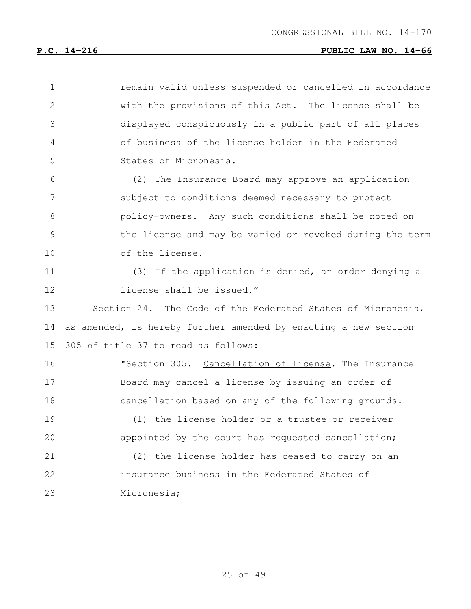| $\mathbf 1$   | remain valid unless suspended or cancelled in accordance        |
|---------------|-----------------------------------------------------------------|
| 2             | with the provisions of this Act. The license shall be           |
| 3             | displayed conspicuously in a public part of all places          |
| 4             | of business of the license holder in the Federated              |
| 5             | States of Micronesia.                                           |
| 6             | (2) The Insurance Board may approve an application              |
| 7             | subject to conditions deemed necessary to protect               |
| 8             | policy-owners. Any such conditions shall be noted on            |
| $\mathcal{G}$ | the license and may be varied or revoked during the term        |
| 10            | of the license.                                                 |
| 11            | (3) If the application is denied, an order denying a            |
| 12            | license shall be issued."                                       |
| 13            | Section 24. The Code of the Federated States of Micronesia,     |
| 14            | as amended, is hereby further amended by enacting a new section |
| 15            | 305 of title 37 to read as follows:                             |
| 16            | "Section 305. Cancellation of license. The Insurance            |
| 17            | Board may cancel a license by issuing an order of               |
| 18            | cancellation based on any of the following grounds:             |
| 19            | (1) the license holder or a trustee or receiver                 |
| 20            | appointed by the court has requested cancellation;              |
| 21            | (2) the license holder has ceased to carry on an                |
| 22            | insurance business in the Federated States of                   |
| 23            | Micronesia;                                                     |
|               |                                                                 |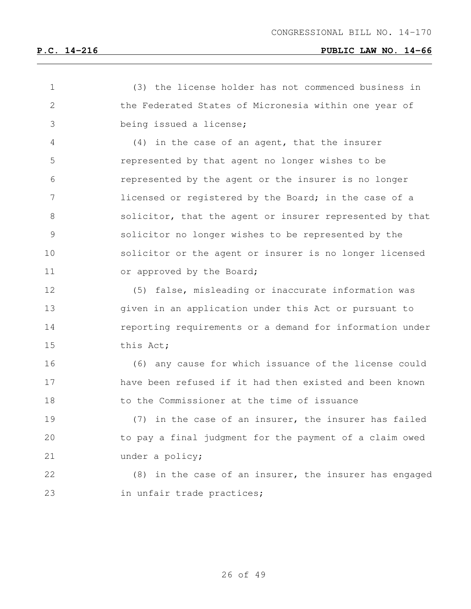| $\mathbf 1$   | (3) the license holder has not commenced business in     |
|---------------|----------------------------------------------------------|
| $\mathbf{2}$  | the Federated States of Micronesia within one year of    |
| 3             | being issued a license;                                  |
| 4             | (4) in the case of an agent, that the insurer            |
| 5             | represented by that agent no longer wishes to be         |
| 6             | represented by the agent or the insurer is no longer     |
| 7             | licensed or registered by the Board; in the case of a    |
| 8             | solicitor, that the agent or insurer represented by that |
| $\mathcal{G}$ | solicitor no longer wishes to be represented by the      |
| 10            | solicitor or the agent or insurer is no longer licensed  |
| 11            | or approved by the Board;                                |
| 12            | (5) false, misleading or inaccurate information was      |
| 13            | given in an application under this Act or pursuant to    |
| 14            | reporting requirements or a demand for information under |
| 15            | this Act;                                                |
| 16            | (6) any cause for which issuance of the license could    |
| 17            | have been refused if it had then existed and been known  |
| 18            | to the Commissioner at the time of issuance              |
| 19            | in the case of an insurer, the insurer has failed<br>(7) |
| 20            | to pay a final judgment for the payment of a claim owed  |
| 21            | under a policy;                                          |
| 22            | (8) in the case of an insurer, the insurer has engaged   |
| 23            | in unfair trade practices;                               |
|               |                                                          |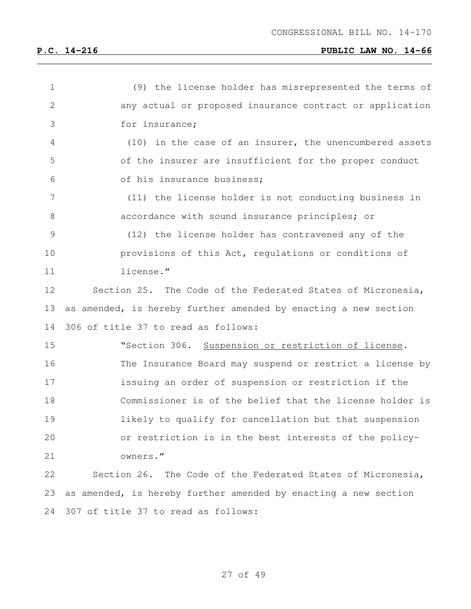| $\mathbf 1$    | (9) the license holder has misrepresented the terms of          |
|----------------|-----------------------------------------------------------------|
| $\mathbf{2}$   | any actual or proposed insurance contract or application        |
| 3              | for insurance;                                                  |
| 4              | (10) in the case of an insurer, the unencumbered assets         |
| 5              | of the insurer are insufficient for the proper conduct          |
| 6              | of his insurance business;                                      |
| $\overline{7}$ | (11) the license holder is not conducting business in           |
| $8\,$          | accordance with sound insurance principles; or                  |
| 9              | (12) the license holder has contravened any of the              |
| 10             | provisions of this Act, regulations or conditions of            |
| 11             | license."                                                       |
| 12             | Section 25. The Code of the Federated States of Micronesia,     |
| 13             | as amended, is hereby further amended by enacting a new section |
|                |                                                                 |
| 14             | 306 of title 37 to read as follows:                             |
| 15             | "Section 306. Suspension or restriction of license.             |
| 16             | The Insurance Board may suspend or restrict a license by        |
| 17             | issuing an order of suspension or restriction if the            |
| 18             | Commissioner is of the belief that the license holder is        |
| 19             | likely to qualify for cancellation but that suspension          |
| 20             | or restriction is in the best interests of the policy-          |
| 21             | owners."                                                        |
| 22             | Section 26. The Code of the Federated States of Micronesia,     |
| 23             | as amended, is hereby further amended by enacting a new section |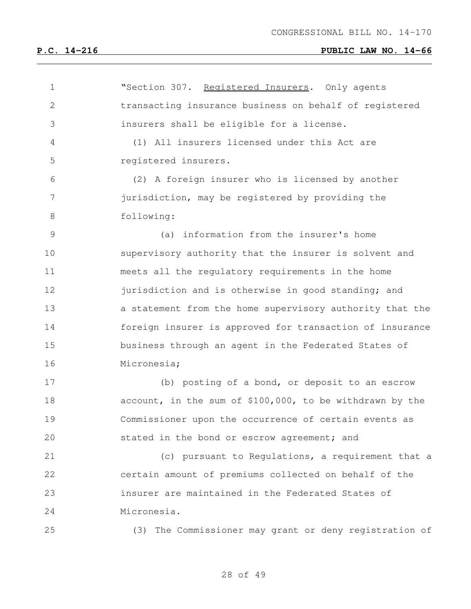| $\mathbf 1$ | "Section 307. Registered Insurers. Only agents           |
|-------------|----------------------------------------------------------|
| 2           | transacting insurance business on behalf of registered   |
| 3           | insurers shall be eligible for a license.                |
| 4           | (1) All insurers licensed under this Act are             |
| 5           | registered insurers.                                     |
| 6           | (2) A foreign insurer who is licensed by another         |
| 7           | jurisdiction, may be registered by providing the         |
| 8           | following:                                               |
| 9           | (a) information from the insurer's home                  |
| 10          | supervisory authority that the insurer is solvent and    |
| 11          | meets all the regulatory requirements in the home        |
| 12          | jurisdiction and is otherwise in good standing; and      |
| 13          | a statement from the home supervisory authority that the |
| 14          | foreign insurer is approved for transaction of insurance |
| 15          | business through an agent in the Federated States of     |
| 16          | Micronesia;                                              |
| 17          | (b) posting of a bond, or deposit to an escrow           |
| 18          | account, in the sum of \$100,000, to be withdrawn by the |
| 19          | Commissioner upon the occurrence of certain events as    |
| 20          | stated in the bond or escrow agreement; and              |
| 21          | (c) pursuant to Regulations, a requirement that a        |
| 22          | certain amount of premiums collected on behalf of the    |
| 23          | insurer are maintained in the Federated States of        |
| 24          | Micronesia.                                              |
| 25          | (3) The Commissioner may grant or deny registration of   |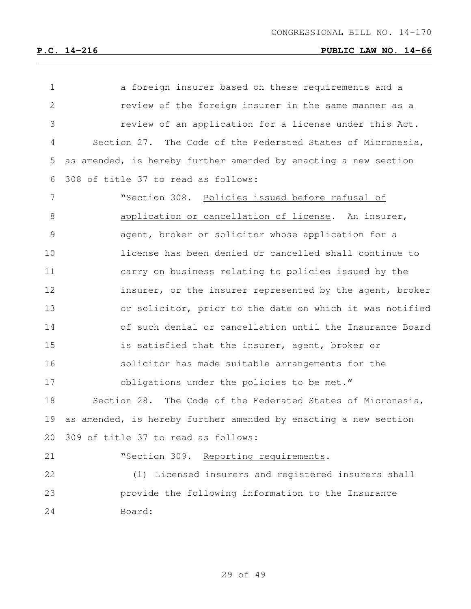| $\mathbf 1$ | a foreign insurer based on these requirements and a             |
|-------------|-----------------------------------------------------------------|
| 2           | review of the foreign insurer in the same manner as a           |
| 3           | review of an application for a license under this Act.          |
| 4           | Section 27. The Code of the Federated States of Micronesia,     |
| 5           | as amended, is hereby further amended by enacting a new section |
| 6           | 308 of title 37 to read as follows:                             |
| 7           | "Section 308. Policies issued before refusal of                 |
| 8           | application or cancellation of license. An insurer,             |
| 9           | agent, broker or solicitor whose application for a              |
| 10          | license has been denied or cancelled shall continue to          |
| 11          | carry on business relating to policies issued by the            |
| 12          | insurer, or the insurer represented by the agent, broker        |
| 13          | or solicitor, prior to the date on which it was notified        |
| 14          | of such denial or cancellation until the Insurance Board        |
| 15          | is satisfied that the insurer, agent, broker or                 |
| 16          | solicitor has made suitable arrangements for the                |
| 17          | obligations under the policies to be met."                      |
| 18          | Section 28. The Code of the Federated States of Micronesia,     |
| 19          | as amended, is hereby further amended by enacting a new section |
| 20          | 309 of title 37 to read as follows:                             |
| 21          | "Section 309.<br>Reporting requirements.                        |
| 22          | (1) Licensed insurers and registered insurers shall             |
| 23          | provide the following information to the Insurance              |
| 24          | Board:                                                          |
|             |                                                                 |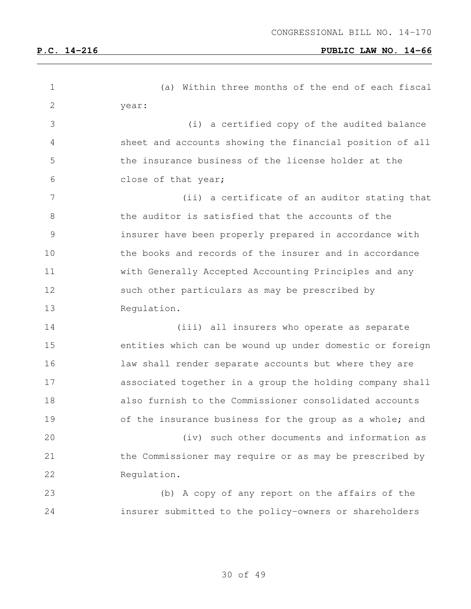(a) Within three months of the end of each fiscal year: (i) a certified copy of the audited balance sheet and accounts showing the financial position of all the insurance business of the license holder at the close of that year; (ii) a certificate of an auditor stating that the auditor is satisfied that the accounts of the insurer have been properly prepared in accordance with the books and records of the insurer and in accordance with Generally Accepted Accounting Principles and any such other particulars as may be prescribed by Regulation. (iii) all insurers who operate as separate entities which can be wound up under domestic or foreign law shall render separate accounts but where they are associated together in a group the holding company shall also furnish to the Commissioner consolidated accounts 19 of the insurance business for the group as a whole; and (iv) such other documents and information as the Commissioner may require or as may be prescribed by Regulation. (b) A copy of any report on the affairs of the insurer submitted to the policy-owners or shareholders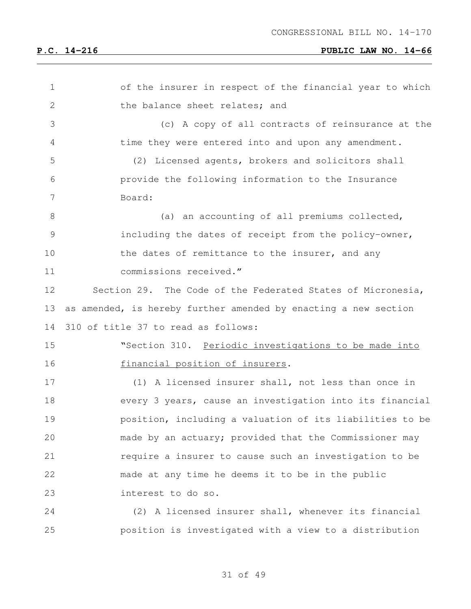| $\mathbf 1$  | of the insurer in respect of the financial year to which        |
|--------------|-----------------------------------------------------------------|
| $\mathbf{2}$ | the balance sheet relates; and                                  |
| 3            | (c) A copy of all contracts of reinsurance at the               |
| 4            | time they were entered into and upon any amendment.             |
| 5            | Licensed agents, brokers and solicitors shall<br>(2)            |
| 6            | provide the following information to the Insurance              |
| 7            | Board:                                                          |
| 8            | (a) an accounting of all premiums collected,                    |
| 9            | including the dates of receipt from the policy-owner,           |
| 10           | the dates of remittance to the insurer, and any                 |
| 11           | commissions received."                                          |
| 12           | Section 29. The Code of the Federated States of Micronesia,     |
| 13           | as amended, is hereby further amended by enacting a new section |
| 14           | 310 of title 37 to read as follows:                             |
| 15           | "Section 310. Periodic investigations to be made into           |
| 16           | financial position of insurers.                                 |
| 17           | (1) A licensed insurer shall, not less than once in             |
| 18           | every 3 years, cause an investigation into its financial        |
| 19           | position, including a valuation of its liabilities to be        |
| 20           | made by an actuary; provided that the Commissioner may          |
| 21           | require a insurer to cause such an investigation to be          |
| 22           | made at any time he deems it to be in the public                |
| 23           | interest to do so.                                              |
| 24           | (2) A licensed insurer shall, whenever its financial            |
| 25           | position is investigated with a view to a distribution          |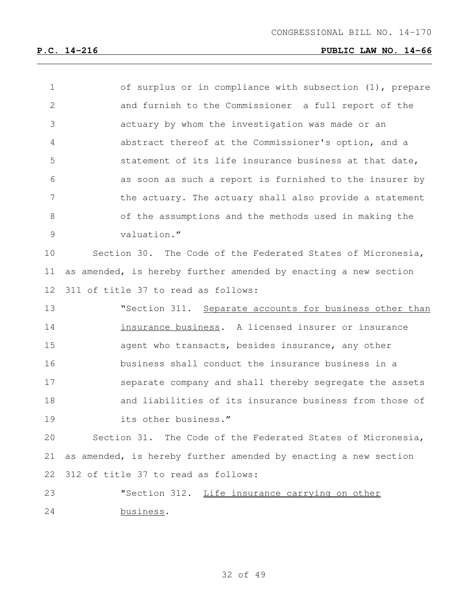| $\mathbf 1$ | of surplus or in compliance with subsection (1), prepare        |
|-------------|-----------------------------------------------------------------|
| 2           | and furnish to the Commissioner a full report of the            |
| 3           | actuary by whom the investigation was made or an                |
| 4           | abstract thereof at the Commissioner's option, and a            |
| 5           | statement of its life insurance business at that date,          |
| 6           | as soon as such a report is furnished to the insurer by         |
| 7           | the actuary. The actuary shall also provide a statement         |
| 8           | of the assumptions and the methods used in making the           |
| 9           | valuation."                                                     |
| 10          | Section 30. The Code of the Federated States of Micronesia,     |
| 11          | as amended, is hereby further amended by enacting a new section |
| 12          | 311 of title 37 to read as follows:                             |
| 13          | "Section 311. Separate accounts for business other than         |
| 14          | insurance business. A licensed insurer or insurance             |
| 15          | agent who transacts, besides insurance, any other               |
| 16          | business shall conduct the insurance business in a              |
| 17          | separate company and shall thereby segregate the assets         |
| 18          | and liabilities of its insurance business from those of         |
| 19          | its other business."                                            |
| 20          | Section 31. The Code of the Federated States of Micronesia,     |
| 21          | as amended, is hereby further amended by enacting a new section |

312 of title 37 to read as follows:

23 "Section 312. Life insurance carrying on other business.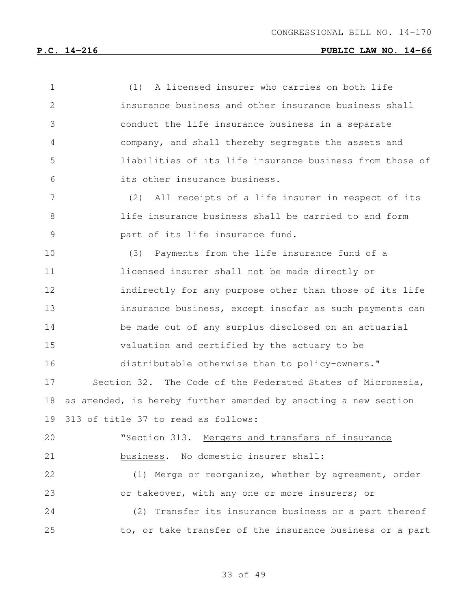| $\mathbf 1$    | (1) A licensed insurer who carries on both life                 |
|----------------|-----------------------------------------------------------------|
| $\overline{2}$ | insurance business and other insurance business shall           |
| 3              | conduct the life insurance business in a separate               |
| 4              | company, and shall thereby segregate the assets and             |
| 5              | liabilities of its life insurance business from those of        |
| 6              | its other insurance business.                                   |
| 7              | (2) All receipts of a life insurer in respect of its            |
| 8              | life insurance business shall be carried to and form            |
| 9              | part of its life insurance fund.                                |
| 10             | (3) Payments from the life insurance fund of a                  |
| 11             | licensed insurer shall not be made directly or                  |
| 12             | indirectly for any purpose other than those of its life         |
| 13             | insurance business, except insofar as such payments can         |
| 14             | be made out of any surplus disclosed on an actuarial            |
| 15             | valuation and certified by the actuary to be                    |
| 16             | distributable otherwise than to policy-owners."                 |
| 17             | Section 32. The Code of the Federated States of Micronesia,     |
| 18             | as amended, is hereby further amended by enacting a new section |
| 19             | 313 of title 37 to read as follows:                             |
| 20             | "Section 313. Mergers and transfers of insurance                |
| 21             | business. No domestic insurer shall:                            |
| 22             | (1) Merge or reorganize, whether by agreement, order            |
| 23             | or takeover, with any one or more insurers; or                  |
| 24             | (2) Transfer its insurance business or a part thereof           |
| 25             | to, or take transfer of the insurance business or a part        |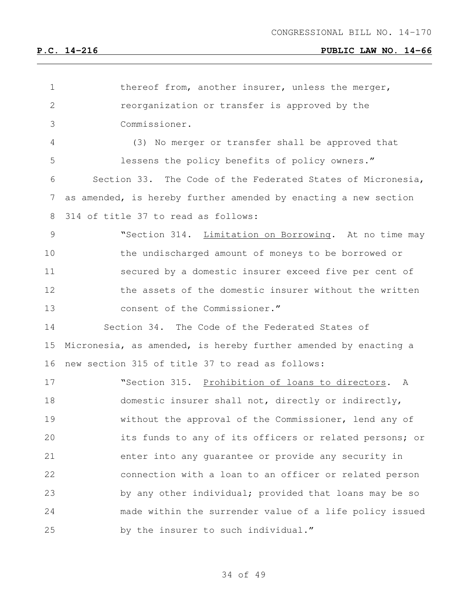| $\mathbf 1$     | thereof from, another insurer, unless the merger,               |
|-----------------|-----------------------------------------------------------------|
| $\mathbf{2}$    | reorganization or transfer is approved by the                   |
| 3               | Commissioner.                                                   |
| 4               | (3) No merger or transfer shall be approved that                |
| 5               | lessens the policy benefits of policy owners."                  |
| 6               | Section 33. The Code of the Federated States of Micronesia,     |
| $7\phantom{.0}$ | as amended, is hereby further amended by enacting a new section |
| 8               | 314 of title 37 to read as follows:                             |
| $\mathcal{G}$   | "Section 314. Limitation on Borrowing. At no time may           |
| 10              | the undischarged amount of moneys to be borrowed or             |
| 11              | secured by a domestic insurer exceed five per cent of           |
| 12              | the assets of the domestic insurer without the written          |
| 13              | consent of the Commissioner."                                   |
| 14              | Section 34. The Code of the Federated States of                 |
| 15              | Micronesia, as amended, is hereby further amended by enacting a |
| 16              | new section 315 of title 37 to read as follows:                 |
| 17              | "Section 315. Prohibition of loans to directors. A              |
| 18              | domestic insurer shall not, directly or indirectly,             |
| 19              | without the approval of the Commissioner, lend any of           |
| 20              | its funds to any of its officers or related persons; or         |
| 21              | enter into any quarantee or provide any security in             |
| 22              | connection with a loan to an officer or related person          |
| 23              | by any other individual; provided that loans may be so          |
| 24              | made within the surrender value of a life policy issued         |
| 25              | by the insurer to such individual."                             |
|                 |                                                                 |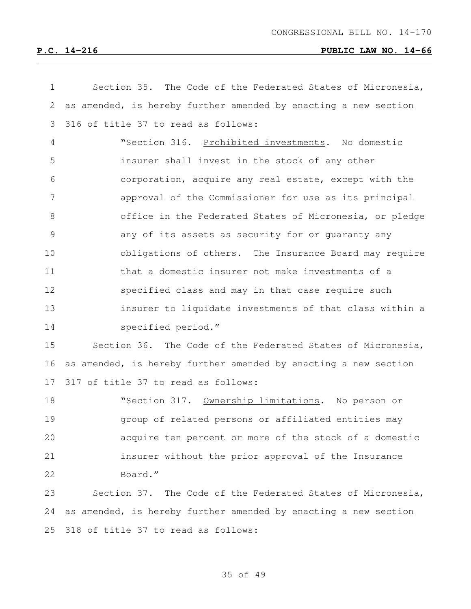| $\mathbf 1$  | Section 35. The Code of the Federated States of Micronesia,     |
|--------------|-----------------------------------------------------------------|
| $\mathbf{2}$ | as amended, is hereby further amended by enacting a new section |
| 3            | 316 of title 37 to read as follows:                             |
| 4            | "Section 316. Prohibited investments. No domestic               |
| 5            | insurer shall invest in the stock of any other                  |
| 6            | corporation, acquire any real estate, except with the           |
| 7            | approval of the Commissioner for use as its principal           |
| 8            | office in the Federated States of Micronesia, or pledge         |
| 9            | any of its assets as security for or guaranty any               |
| 10           | obligations of others. The Insurance Board may require          |
| 11           | that a domestic insurer not make investments of a               |
| 12           | specified class and may in that case require such               |
| 13           | insurer to liquidate investments of that class within a         |
| 14           | specified period."                                              |
| 15           | Section 36. The Code of the Federated States of Micronesia,     |
| 16           | as amended, is hereby further amended by enacting a new section |
| 17           | 317 of title 37 to read as follows:                             |
| 18           | "Section 317. Ownership limitations. No person or               |
| 19           | group of related persons or affiliated entities may             |
| 20           | acquire ten percent or more of the stock of a domestic          |
| 21           | insurer without the prior approval of the Insurance             |
| 22           | Board."                                                         |
| 23           | Section 37. The Code of the Federated States of Micronesia,     |
| 24           | as amended, is hereby further amended by enacting a new section |
| 25           | 318 of title 37 to read as follows:                             |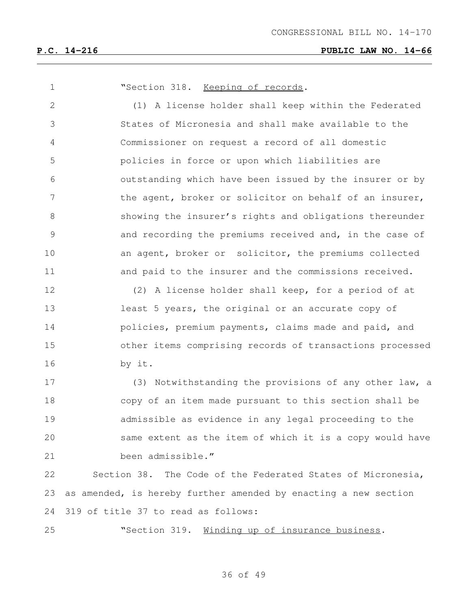**"Section 318.** Keeping of records. (1) A license holder shall keep within the Federated States of Micronesia and shall make available to the Commissioner on request a record of all domestic policies in force or upon which liabilities are outstanding which have been issued by the insurer or by 7 the agent, broker or solicitor on behalf of an insurer, showing the insurer's rights and obligations thereunder and recording the premiums received and, in the case of 10 an agent, broker or solicitor, the premiums collected 11 and paid to the insurer and the commissions received. (2) A license holder shall keep, for a period of at least 5 years, the original or an accurate copy of **policies, premium payments, claims made and paid, and**  other items comprising records of transactions processed by it. (3) Notwithstanding the provisions of any other law, a copy of an item made pursuant to this section shall be admissible as evidence in any legal proceeding to the same extent as the item of which it is a copy would have been admissible." Section 38. The Code of the Federated States of Micronesia, as amended, is hereby further amended by enacting a new section 319 of title 37 to read as follows:

"Section 319. Winding up of insurance business.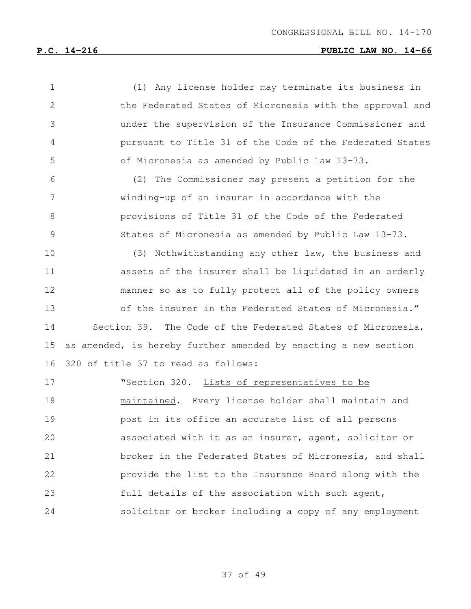| 1             | (1) Any license holder may terminate its business in            |
|---------------|-----------------------------------------------------------------|
| 2             | the Federated States of Micronesia with the approval and        |
| 3             | under the supervision of the Insurance Commissioner and         |
| 4             | pursuant to Title 31 of the Code of the Federated States        |
| 5             | of Micronesia as amended by Public Law 13-73.                   |
| 6             | (2) The Commissioner may present a petition for the             |
| 7             | winding-up of an insurer in accordance with the                 |
| 8             | provisions of Title 31 of the Code of the Federated             |
| $\mathcal{G}$ | States of Micronesia as amended by Public Law 13-73.            |
| 10            | (3) Nothwithstanding any other law, the business and            |
| 11            | assets of the insurer shall be liquidated in an orderly         |
| 12            | manner so as to fully protect all of the policy owners          |
| 13            | of the insurer in the Federated States of Micronesia."          |
| 14            | Section 39. The Code of the Federated States of Micronesia,     |
| 15            | as amended, is hereby further amended by enacting a new section |
| 16            | 320 of title 37 to read as follows:                             |
| 17            | "Section 320. Lists of representatives to be                    |
| 18            | maintained. Every license holder shall maintain and             |
| 19            | post in its office an accurate list of all persons              |
| 20            | associated with it as an insurer, agent, solicitor or           |
| 21            | broker in the Federated States of Micronesia, and shall         |
| 22            | provide the list to the Insurance Board along with the          |
| 23            | full details of the association with such agent,                |
| 24            | solicitor or broker including a copy of any employment          |
|               |                                                                 |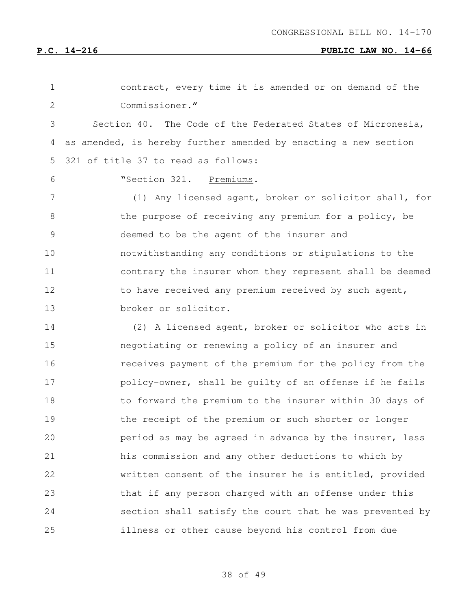| 1             | contract, every time it is amended or on demand of the          |
|---------------|-----------------------------------------------------------------|
| 2             | Commissioner."                                                  |
| 3             | Section 40. The Code of the Federated States of Micronesia,     |
| 4             | as amended, is hereby further amended by enacting a new section |
| 5             | 321 of title 37 to read as follows:                             |
| 6             | "Section 321. Premiums.                                         |
| 7             | (1) Any licensed agent, broker or solicitor shall, for          |
| 8             | the purpose of receiving any premium for a policy, be           |
| $\mathcal{G}$ | deemed to be the agent of the insurer and                       |
| 10            | notwithstanding any conditions or stipulations to the           |
| 11            | contrary the insurer whom they represent shall be deemed        |
| 12            | to have received any premium received by such agent,            |
| 13            | broker or solicitor.                                            |
| 14            | (2) A licensed agent, broker or solicitor who acts in           |
| 15            | negotiating or renewing a policy of an insurer and              |
| 16            | receives payment of the premium for the policy from the         |
| 17            | policy-owner, shall be guilty of an offense if he fails         |
| 18            | to forward the premium to the insurer within 30 days of         |
| 19            | the receipt of the premium or such shorter or longer            |
| 20            | period as may be agreed in advance by the insurer, less         |
| 21            | his commission and any other deductions to which by             |
| 22            | written consent of the insurer he is entitled, provided         |
| 23            | that if any person charged with an offense under this           |
| 24            | section shall satisfy the court that he was prevented by        |
| 25            | illness or other cause beyond his control from due              |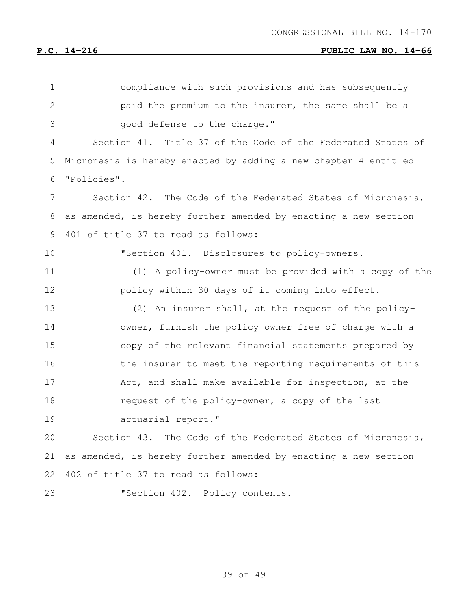| $\mathbf 1$  | compliance with such provisions and has subsequently            |
|--------------|-----------------------------------------------------------------|
| $\mathbf{2}$ | paid the premium to the insurer, the same shall be a            |
| 3            | good defense to the charge."                                    |
| 4            | Section 41. Title 37 of the Code of the Federated States of     |
| 5            | Micronesia is hereby enacted by adding a new chapter 4 entitled |
| 6            | "Policies".                                                     |
| 7            | Section 42. The Code of the Federated States of Micronesia,     |
| 8            | as amended, is hereby further amended by enacting a new section |
| 9            | 401 of title 37 to read as follows:                             |
| 10           | "Section 401. Disclosures to policy-owners.                     |
| 11           | (1) A policy-owner must be provided with a copy of the          |
| 12           | policy within 30 days of it coming into effect.                 |
| 13           | (2) An insurer shall, at the request of the policy-             |
| 14           | owner, furnish the policy owner free of charge with a           |
| 15           | copy of the relevant financial statements prepared by           |
| 16           | the insurer to meet the reporting requirements of this          |
| 17           | Act, and shall make available for inspection, at the            |
| 18           | request of the policy-owner, a copy of the last                 |
| 19           | actuarial report."                                              |
| 20           | Section 43. The Code of the Federated States of Micronesia,     |
| 21           | as amended, is hereby further amended by enacting a new section |
| 22           | 402 of title 37 to read as follows:                             |
| 23           | "Section 402. Policy contents.                                  |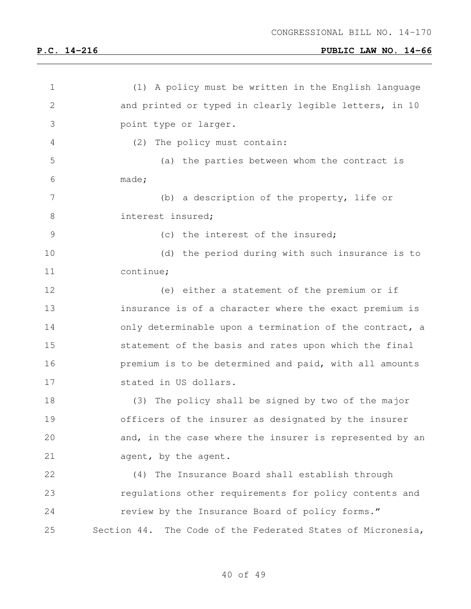| $\mathbf 1$   | (1) A policy must be written in the English language           |
|---------------|----------------------------------------------------------------|
| $\mathbf{2}$  | and printed or typed in clearly legible letters, in 10         |
| 3             | point type or larger.                                          |
| 4             | (2)<br>The policy must contain:                                |
| 5             | (a) the parties between whom the contract is                   |
| 6             | made;                                                          |
| 7             | (b) a description of the property, life or                     |
| $8\,$         | interest insured;                                              |
| $\mathcal{G}$ | (c) the interest of the insured;                               |
| 10            | (d) the period during with such insurance is to                |
| 11            | continue;                                                      |
| 12            | (e) either a statement of the premium or if                    |
| 13            | insurance is of a character where the exact premium is         |
| 14            | only determinable upon a termination of the contract, a        |
| 15            | statement of the basis and rates upon which the final          |
| 16            | premium is to be determined and paid, with all amounts         |
| 17            | stated in US dollars.                                          |
| 18            | (3) The policy shall be signed by two of the major             |
| 19            | officers of the insurer as designated by the insurer           |
| 20            | and, in the case where the insurer is represented by an        |
| 21            | agent, by the agent.                                           |
| 22            | (4) The Insurance Board shall establish through                |
| 23            | requlations other requirements for policy contents and         |
| 24            | review by the Insurance Board of policy forms."                |
| 25            | Section 44.<br>The Code of the Federated States of Micronesia, |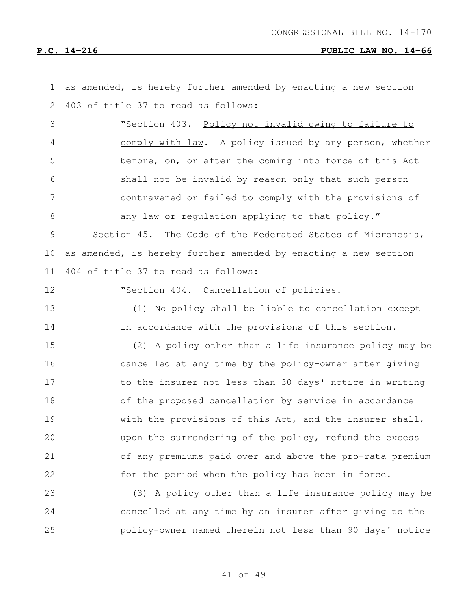| $\mathbf 1$    | as amended, is hereby further amended by enacting a new section |
|----------------|-----------------------------------------------------------------|
| $\mathbf{2}$   | 403 of title 37 to read as follows:                             |
| 3              | "Section 403. Policy not invalid owing to failure to            |
| 4              | comply with law. A policy issued by any person, whether         |
| 5              | before, on, or after the coming into force of this Act          |
| 6              | shall not be invalid by reason only that such person            |
| $\overline{7}$ | contravened or failed to comply with the provisions of          |
| 8              | any law or regulation applying to that policy."                 |
| 9              | Section 45. The Code of the Federated States of Micronesia,     |
| 10             | as amended, is hereby further amended by enacting a new section |
| 11             | 404 of title 37 to read as follows:                             |
| 12             | "Section 404. Cancellation of policies.                         |
| 13             | (1) No policy shall be liable to cancellation except            |
| 14             | in accordance with the provisions of this section.              |
| 15             | (2) A policy other than a life insurance policy may be          |
| 16             | cancelled at any time by the policy-owner after giving          |
| 17             | to the insurer not less than 30 days' notice in writing         |
| 18             | of the proposed cancellation by service in accordance           |
| 19             | with the provisions of this Act, and the insurer shall,         |
| 20             | upon the surrendering of the policy, refund the excess          |
| 21             | of any premiums paid over and above the pro-rata premium        |
| 22             | for the period when the policy has been in force.               |
| 23             | (3) A policy other than a life insurance policy may be          |
| 24             | cancelled at any time by an insurer after giving to the         |
| 25             | policy-owner named therein not less than 90 days' notice        |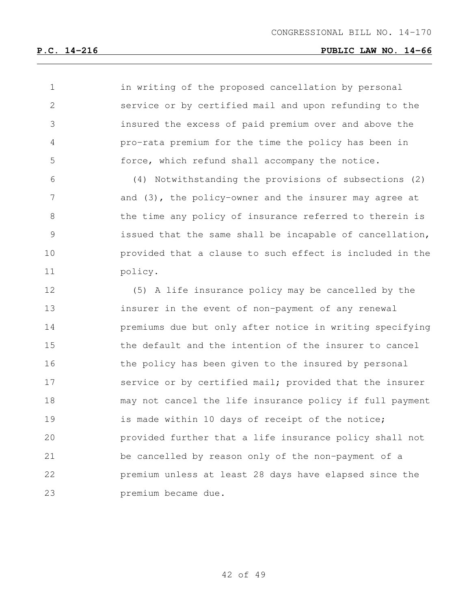in writing of the proposed cancellation by personal service or by certified mail and upon refunding to the insured the excess of paid premium over and above the pro-rata premium for the time the policy has been in force, which refund shall accompany the notice.

 (4) Notwithstanding the provisions of subsections (2) 7 and (3), the policy-owner and the insurer may agree at the time any policy of insurance referred to therein is issued that the same shall be incapable of cancellation, provided that a clause to such effect is included in the policy.

 (5) A life insurance policy may be cancelled by the insurer in the event of non-payment of any renewal premiums due but only after notice in writing specifying the default and the intention of the insurer to cancel 16 the policy has been given to the insured by personal 17 service or by certified mail; provided that the insurer may not cancel the life insurance policy if full payment 19 is made within 10 days of receipt of the notice; provided further that a life insurance policy shall not be cancelled by reason only of the non-payment of a premium unless at least 28 days have elapsed since the premium became due.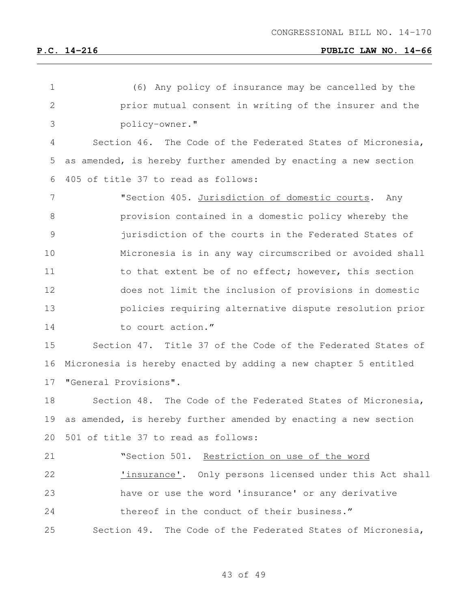| $\mathbf 1$    | (6) Any policy of insurance may be cancelled by the             |
|----------------|-----------------------------------------------------------------|
| $\overline{2}$ | prior mutual consent in writing of the insurer and the          |
| 3              | policy-owner."                                                  |
| 4              | Section 46. The Code of the Federated States of Micronesia,     |
| 5              | as amended, is hereby further amended by enacting a new section |
| 6              | 405 of title 37 to read as follows:                             |
| 7              | "Section 405. Jurisdiction of domestic courts. Any              |
| 8              | provision contained in a domestic policy whereby the            |
| $\mathcal{G}$  | jurisdiction of the courts in the Federated States of           |
| 10             | Micronesia is in any way circumscribed or avoided shall         |
| 11             | to that extent be of no effect; however, this section           |
| 12             | does not limit the inclusion of provisions in domestic          |
| 13             | policies requiring alternative dispute resolution prior         |
| 14             | to court action."                                               |
| 15             | Section 47. Title 37 of the Code of the Federated States of     |
| 16             | Micronesia is hereby enacted by adding a new chapter 5 entitled |
| 17             | "General Provisions".                                           |
| 18             | Section 48. The Code of the Federated States of Micronesia,     |
| 19             | as amended, is hereby further amended by enacting a new section |
|                | 20 501 of title 37 to read as follows:                          |
| 21             | "Section 501. Restriction on use of the word                    |
| 22             | <u>'insurance'</u> . Only persons licensed under this Act shall |
| 23             | have or use the word 'insurance' or any derivative              |
| 24             | thereof in the conduct of their business."                      |
| 25             | Section 49. The Code of the Federated States of Micronesia,     |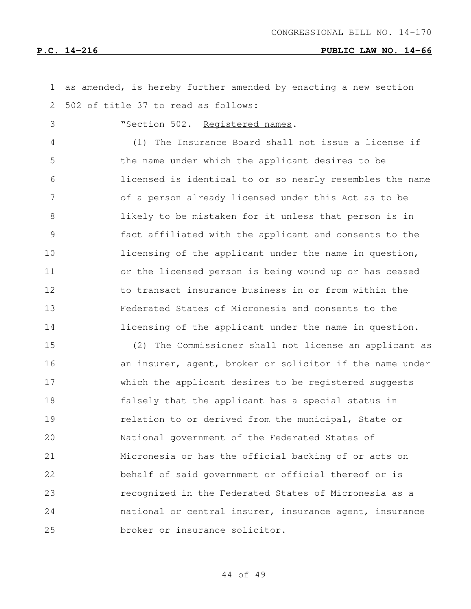| $\mathbf 1$    | as amended, is hereby further amended by enacting a new section |
|----------------|-----------------------------------------------------------------|
| 2              | 502 of title 37 to read as follows:                             |
| 3              | "Section 502. Registered names.                                 |
| 4              | The Insurance Board shall not issue a license if<br>(1)         |
| 5              | the name under which the applicant desires to be                |
| 6              | licensed is identical to or so nearly resembles the name        |
| 7              | of a person already licensed under this Act as to be            |
| 8              | likely to be mistaken for it unless that person is in           |
| $\overline{9}$ | fact affiliated with the applicant and consents to the          |
| 10             | licensing of the applicant under the name in question,          |
| 11             | or the licensed person is being wound up or has ceased          |
| 12             | to transact insurance business in or from within the            |
| 13             | Federated States of Micronesia and consents to the              |
| 14             | licensing of the applicant under the name in question.          |
| 15             | The Commissioner shall not license an applicant as<br>(2)       |
| 16             | an insurer, agent, broker or solicitor if the name under        |
| 17             | which the applicant desires to be registered suggests           |
| 18             | falsely that the applicant has a special status in              |
| 19             | relation to or derived from the municipal, State or             |
| 20             | National government of the Federated States of                  |
| 21             | Micronesia or has the official backing of or acts on            |
| 22             | behalf of said government or official thereof or is             |
| 23             | recognized in the Federated States of Micronesia as a           |
| 24             | national or central insurer, insurance agent, insurance         |
| 25             | broker or insurance solicitor.                                  |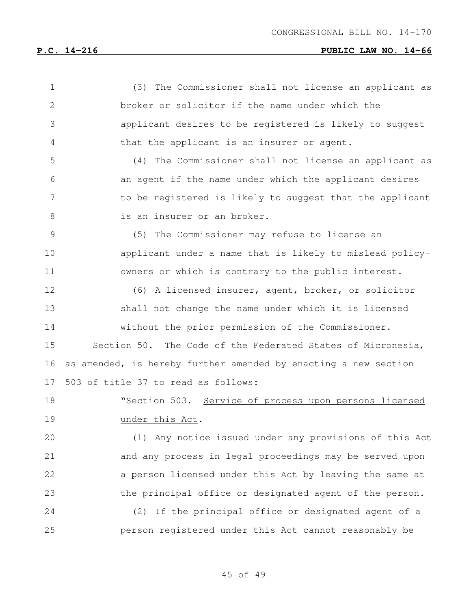| $\mathbf 1$   | (3) The Commissioner shall not license an applicant as          |
|---------------|-----------------------------------------------------------------|
| $\mathbf{2}$  | broker or solicitor if the name under which the                 |
| 3             | applicant desires to be registered is likely to suggest         |
| 4             | that the applicant is an insurer or agent.                      |
| 5             | (4) The Commissioner shall not license an applicant as          |
| 6             | an agent if the name under which the applicant desires          |
| 7             | to be registered is likely to suggest that the applicant        |
| $8\,$         | is an insurer or an broker.                                     |
| $\mathcal{G}$ | (5) The Commissioner may refuse to license an                   |
| 10            | applicant under a name that is likely to mislead policy-        |
| 11            | owners or which is contrary to the public interest.             |
| 12            | (6) A licensed insurer, agent, broker, or solicitor             |
| 13            | shall not change the name under which it is licensed            |
| 14            | without the prior permission of the Commissioner.               |
| 15            | Section 50. The Code of the Federated States of Micronesia,     |
| 16            | as amended, is hereby further amended by enacting a new section |
| 17            | 503 of title 37 to read as follows:                             |
| 18            | "Section 503. Service of process upon persons licensed          |
| 19            | under this Act.                                                 |
| 20            | (1) Any notice issued under any provisions of this Act          |
| 21            | and any process in legal proceedings may be served upon         |
| 22            | a person licensed under this Act by leaving the same at         |
| 23            | the principal office or designated agent of the person.         |
| 24            | If the principal office or designated agent of a<br>(2)         |
| 25            | person registered under this Act cannot reasonably be           |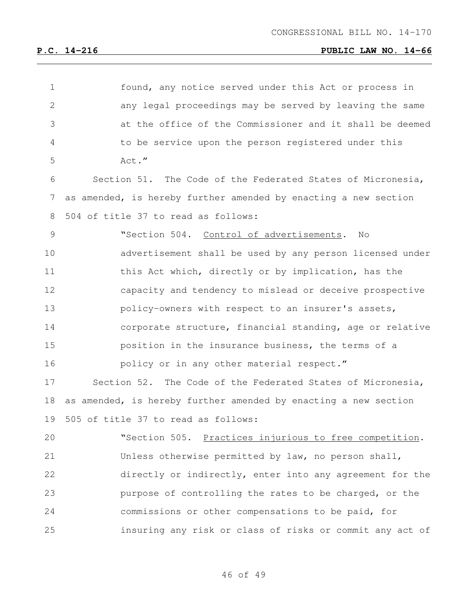| $\mathbf 1$  | found, any notice served under this Act or process in           |
|--------------|-----------------------------------------------------------------|
| $\mathbf{2}$ | any legal proceedings may be served by leaving the same         |
| 3            | at the office of the Commissioner and it shall be deemed        |
| 4            | to be service upon the person registered under this             |
| 5            | Act."                                                           |
| 6            | Section 51. The Code of the Federated States of Micronesia,     |
| 7            | as amended, is hereby further amended by enacting a new section |
| 8            | 504 of title 37 to read as follows:                             |
| 9            | "Section 504. Control of advertisements.<br>No                  |
| 10           | advertisement shall be used by any person licensed under        |
| 11           | this Act which, directly or by implication, has the             |
| 12           | capacity and tendency to mislead or deceive prospective         |
| 13           | policy-owners with respect to an insurer's assets,              |
| 14           | corporate structure, financial standing, age or relative        |
| 15           | position in the insurance business, the terms of a              |
| 16           | policy or in any other material respect."                       |
| 17           | Section 52. The Code of the Federated States of Micronesia,     |
| 18           | as amended, is hereby further amended by enacting a new section |
| 19           | 505 of title 37 to read as follows:                             |
| 20           | "Section 505. Practices injurious to free competition.          |
| 21           | Unless otherwise permitted by law, no person shall,             |
| 22           | directly or indirectly, enter into any agreement for the        |
| 23           | purpose of controlling the rates to be charged, or the          |
| 24           | commissions or other compensations to be paid, for              |
| 25           | insuring any risk or class of risks or commit any act of        |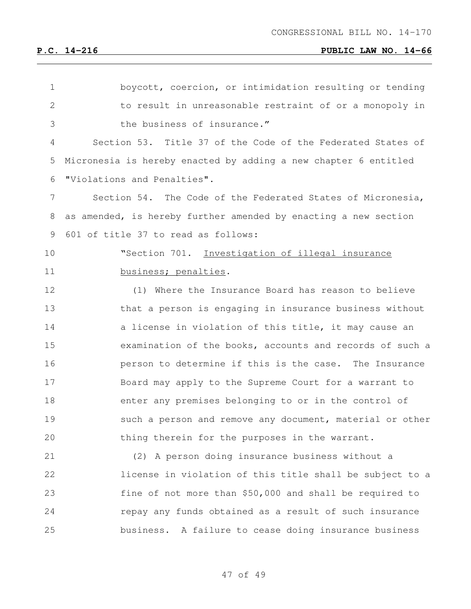| $\mathbf 1$  | boycott, coercion, or intimidation resulting or tending         |
|--------------|-----------------------------------------------------------------|
| $\mathbf{2}$ | to result in unreasonable restraint of or a monopoly in         |
| 3            | the business of insurance."                                     |
| 4            | Section 53. Title 37 of the Code of the Federated States of     |
| 5            | Micronesia is hereby enacted by adding a new chapter 6 entitled |
| 6            | "Violations and Penalties".                                     |
| 7            | Section 54. The Code of the Federated States of Micronesia,     |
| 8            | as amended, is hereby further amended by enacting a new section |
| 9            | 601 of title 37 to read as follows:                             |
| 10           | "Section 701. Investigation of illegal insurance                |
| 11           | business; penalties.                                            |
| 12           | (1)<br>Where the Insurance Board has reason to believe          |
| 13           | that a person is engaging in insurance business without         |
| 14           | a license in violation of this title, it may cause an           |
| 15           | examination of the books, accounts and records of such a        |
| 16           | person to determine if this is the case. The Insurance          |
| 17           | Board may apply to the Supreme Court for a warrant to           |
| 18           | enter any premises belonging to or in the control of            |
| 19           | such a person and remove any document, material or other        |
| 20           | thing therein for the purposes in the warrant.                  |
| 21           | (2) A person doing insurance business without a                 |
| 22           | license in violation of this title shall be subject to a        |
| 23           | fine of not more than \$50,000 and shall be required to         |
| 24           | repay any funds obtained as a result of such insurance          |
| 25           | business. A failure to cease doing insurance business           |
|              |                                                                 |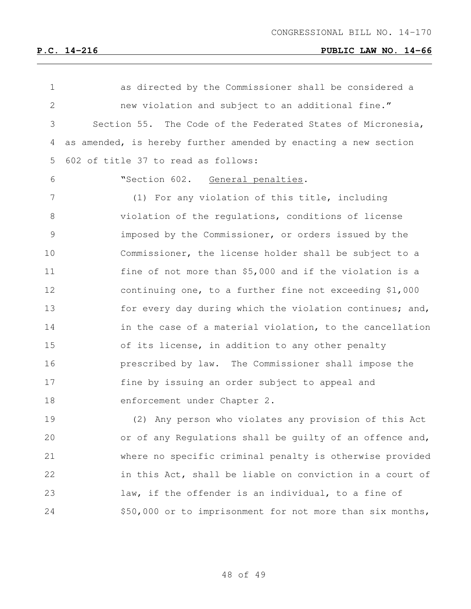| $\mathbf 1$   | as directed by the Commissioner shall be considered a           |
|---------------|-----------------------------------------------------------------|
| $\mathbf{2}$  | new violation and subject to an additional fine."               |
| 3             | Section 55. The Code of the Federated States of Micronesia,     |
| 4             | as amended, is hereby further amended by enacting a new section |
| 5             | 602 of title 37 to read as follows:                             |
| 6             | "Section 602.<br>General penalties.                             |
| 7             | (1) For any violation of this title, including                  |
| 8             | violation of the regulations, conditions of license             |
| $\mathcal{G}$ | imposed by the Commissioner, or orders issued by the            |
| 10            | Commissioner, the license holder shall be subject to a          |
| 11            | fine of not more than \$5,000 and if the violation is a         |
| 12            | continuing one, to a further fine not exceeding \$1,000         |
| 13            | for every day during which the violation continues; and,        |
| 14            | in the case of a material violation, to the cancellation        |
| 15            | of its license, in addition to any other penalty                |
| 16            | prescribed by law. The Commissioner shall impose the            |
| 17            | fine by issuing an order subject to appeal and                  |
| 18            | enforcement under Chapter 2.                                    |
| 19            | (2) Any person who violates any provision of this Act           |
| 20            | or of any Regulations shall be guilty of an offence and,        |
| 21            | where no specific criminal penalty is otherwise provided        |
| 22            | in this Act, shall be liable on conviction in a court of        |
| 23            | law, if the offender is an individual, to a fine of             |
| 24            | \$50,000 or to imprisonment for not more than six months,       |
|               |                                                                 |